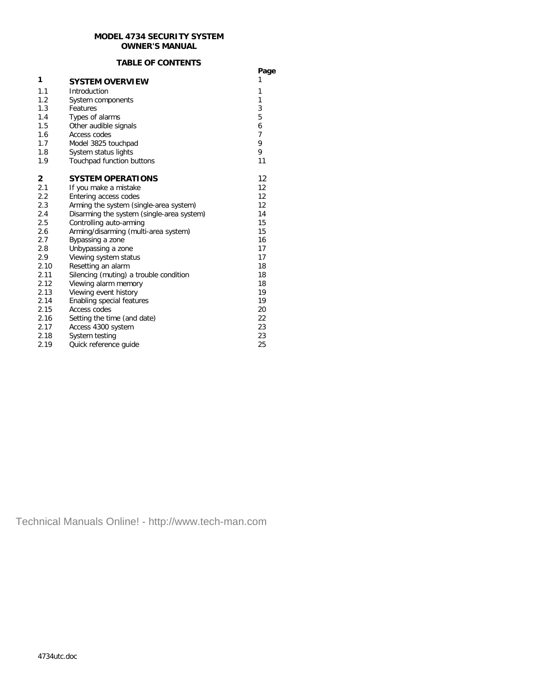### **MODEL 4734 SECURITY SYSTEM OWNER'S MANUAL**

#### **TABLE OF CONTENTS**

|      | IMDLE UF GUNTENTJ                         | Page           |
|------|-------------------------------------------|----------------|
| 1    | <b>SYSTEM OVERVIEW</b>                    | 1              |
| 1.1  | Introduction                              | 1              |
| 1.2  | System components                         | 1              |
| 1.3  | Features                                  | 3              |
| 1.4  | Types of alarms                           | 5              |
| 1.5  | Other audible signals                     | 6              |
| 1.6  | Access codes                              | $\overline{7}$ |
| 1.7  | Model 3825 touchpad                       | 9              |
| 1.8  | System status lights                      | 9              |
| 1.9  | Touchpad function buttons                 | 11             |
| 2    | <b>SYSTEM OPERATIONS</b>                  | 12             |
| 2.1  | If you make a mistake                     | 12             |
| 2.2  | Entering access codes                     | 12             |
| 2.3  | Arming the system (single-area system)    | 12             |
| 2.4  | Disarming the system (single-area system) | 14             |
| 2.5  | Controlling auto-arming                   | 15             |
| 2.6  | Arming/disarming (multi-area system)      | 15             |
| 2.7  | Bypassing a zone                          | 16             |
| 2.8  | Unbypassing a zone                        | 17             |
| 2.9  | Viewing system status                     | 17             |
| 2.10 | Resetting an alarm                        | 18             |
| 2.11 | Silencing (muting) a trouble condition    | 18             |
| 2.12 | Viewing alarm memory                      | 18             |
| 2.13 | Viewing event history                     | 19             |
| 2.14 | Enabling special features                 | 19             |
| 2.15 | Access codes                              | 20             |
| 2.16 | Setting the time (and date)               | 22             |
| 2.17 | Access 4300 system                        | 23             |
| 2.18 | System testing                            | 23             |
| 2.19 | Quick reference quide                     | 25             |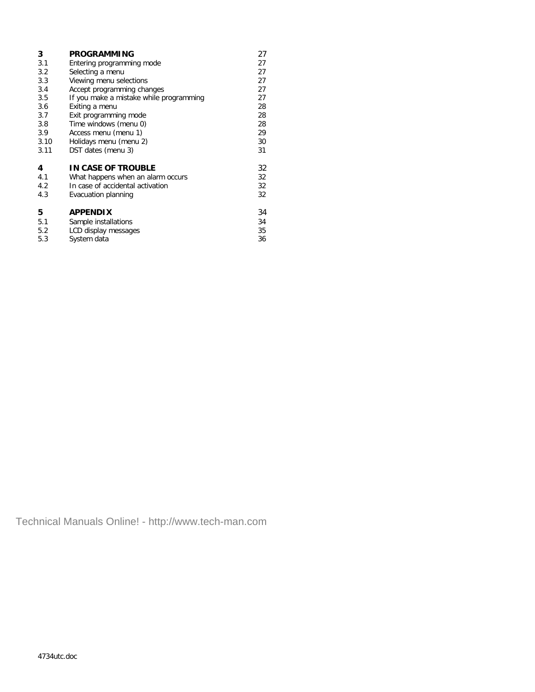| 3    | <b>PROGRAMMING</b>                      | 27 |
|------|-----------------------------------------|----|
| 3.1  | Entering programming mode               | 27 |
| 3.2  | Selecting a menu                        | 27 |
| 3.3  | Viewing menu selections                 | 27 |
| 3.4  | Accept programming changes              | 27 |
| 3.5  | If you make a mistake while programming | 27 |
| 3.6  | Exiting a menu                          | 28 |
| 3.7  | Exit programming mode                   | 28 |
| 3.8  | Time windows (menu 0)                   | 28 |
| 3.9  | Access menu (menu 1)                    | 29 |
| 3.10 | Holidays menu (menu 2)                  | 30 |
| 3.11 | DST dates (menu 3)                      | 31 |
| 4    | IN CASE OF TROUBLE                      | 32 |
| 4.1  | What happens when an alarm occurs       | 32 |
| 4.2  | In case of accidental activation        | 32 |
| 4.3  | Evacuation planning                     | 32 |
| 5    | <b>APPENDIX</b>                         | 34 |
| 5.1  | Sample installations                    | 34 |
| 5.2  | LCD display messages                    | 35 |
| 5.3  | System data                             | 36 |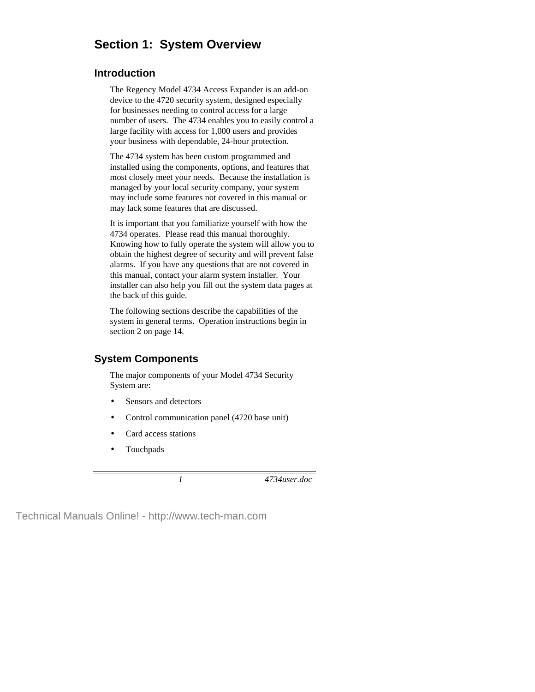# **Section 1: System Overview**

## **Introduction**

The Regency Model 4734 Access Expander is an add-on device to the 4720 security system, designed especially for businesses needing to control access for a large number of users. The 4734 enables you to easily control a large facility with access for 1,000 users and provides your business with dependable, 24-hour protection.

The 4734 system has been custom programmed and installed using the components, options, and features that most closely meet your needs. Because the installation is managed by your local security company, your system may include some features not covered in this manual or may lack some features that are discussed.

It is important that you familiarize yourself with how the 4734 operates. Please read this manual thoroughly. Knowing how to fully operate the system will allow you to obtain the highest degree of security and will prevent false alarms. If you have any questions that are not covered in this manual, contact your alarm system installer. Your installer can also help you fill out the system data pages at the back of this guide.

The following sections describe the capabilities of the system in general terms. Operation instructions begin in section 2 on page 14.

# **System Components**

The major components of your Model 4734 Security System are:

- Sensors and detectors
- Control communication panel (4720 base unit)
- Card access stations
- Touchpads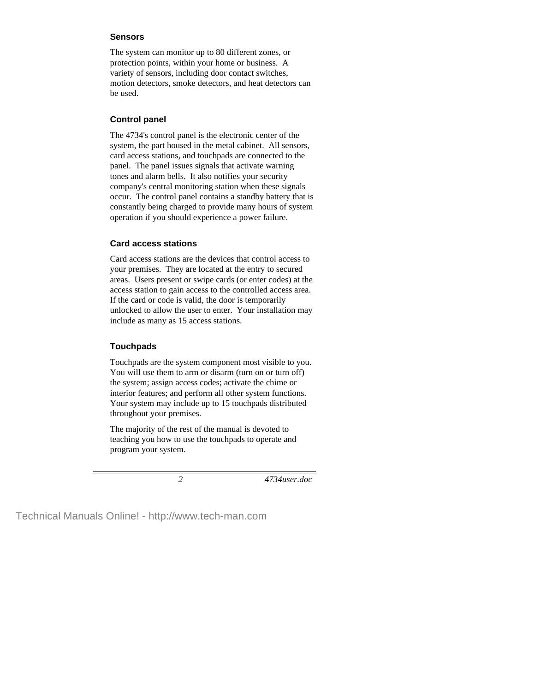#### **Sensors**

The system can monitor up to 80 different zones, or protection points, within your home or business. A variety of sensors, including door contact switches, motion detectors, smoke detectors, and heat detectors can be used.

## **Control panel**

The 4734's control panel is the electronic center of the system, the part housed in the metal cabinet. All sensors, card access stations, and touchpads are connected to the panel. The panel issues signals that activate warning tones and alarm bells. It also notifies your security company's central monitoring station when these signals occur. The control panel contains a standby battery that is constantly being charged to provide many hours of system operation if you should experience a power failure.

## **Card access stations**

Card access stations are the devices that control access to your premises. They are located at the entry to secured areas. Users present or swipe cards (or enter codes) at the access station to gain access to the controlled access area. If the card or code is valid, the door is temporarily unlocked to allow the user to enter. Your installation may include as many as 15 access stations.

## **Touchpads**

Touchpads are the system component most visible to you. You will use them to arm or disarm (turn on or turn off) the system; assign access codes; activate the chime or interior features; and perform all other system functions. Your system may include up to 15 touchpads distributed throughout your premises.

The majority of the rest of the manual is devoted to teaching you how to use the touchpads to operate and program your system.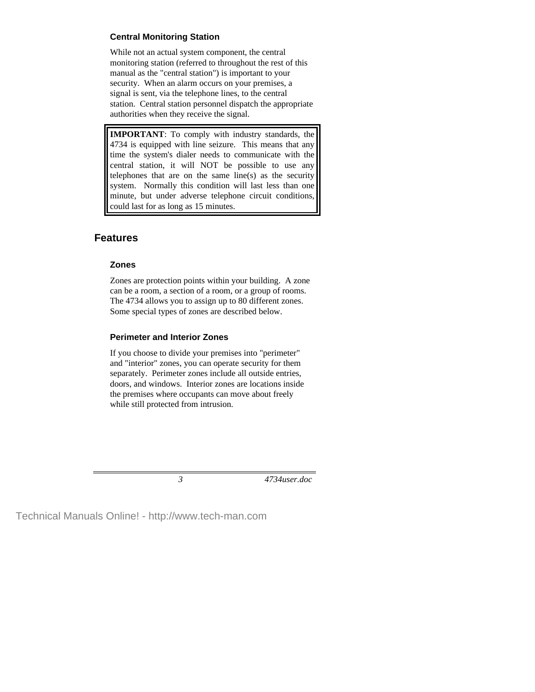### **Central Monitoring Station**

While not an actual system component, the central monitoring station (referred to throughout the rest of this manual as the "central station") is important to your security. When an alarm occurs on your premises, a signal is sent, via the telephone lines, to the central station. Central station personnel dispatch the appropriate authorities when they receive the signal.

**IMPORTANT**: To comply with industry standards, the 4734 is equipped with line seizure. This means that any time the system's dialer needs to communicate with the central station, it will NOT be possible to use any telephones that are on the same line(s) as the security system. Normally this condition will last less than one minute, but under adverse telephone circuit conditions, could last for as long as 15 minutes.

# **Features**

## **Zones**

Zones are protection points within your building. A zone can be a room, a section of a room, or a group of rooms. The 4734 allows you to assign up to 80 different zones. Some special types of zones are described below.

## **Perimeter and Interior Zones**

If you choose to divide your premises into "perimeter" and "interior" zones, you can operate security for them separately. Perimeter zones include all outside entries, doors, and windows. Interior zones are locations inside the premises where occupants can move about freely while still protected from intrusion.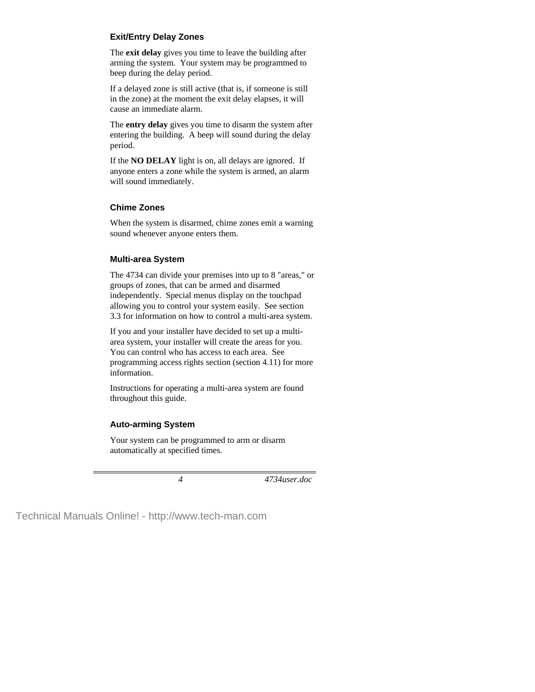### **Exit/Entry Delay Zones**

The **exit delay** gives you time to leave the building after arming the system. Your system may be programmed to beep during the delay period.

If a delayed zone is still active (that is, if someone is still in the zone) at the moment the exit delay elapses, it will cause an immediate alarm.

The **entry delay** gives you time to disarm the system after entering the building. A beep will sound during the delay period.

If the **NO DELAY** light is on, all delays are ignored. If anyone enters a zone while the system is armed, an alarm will sound immediately.

## **Chime Zones**

When the system is disarmed, chime zones emit a warning sound whenever anyone enters them.

## **Multi-area System**

The 4734 can divide your premises into up to 8 "areas," or groups of zones, that can be armed and disarmed independently. Special menus display on the touchpad allowing you to control your system easily. See section 3.3 for information on how to control a multi-area system.

If you and your installer have decided to set up a multiarea system, your installer will create the areas for you. You can control who has access to each area. See programming access rights section (section 4.11) for more information.

Instructions for operating a multi-area system are found throughout this guide.

## **Auto-arming System**

Your system can be programmed to arm or disarm automatically at specified times.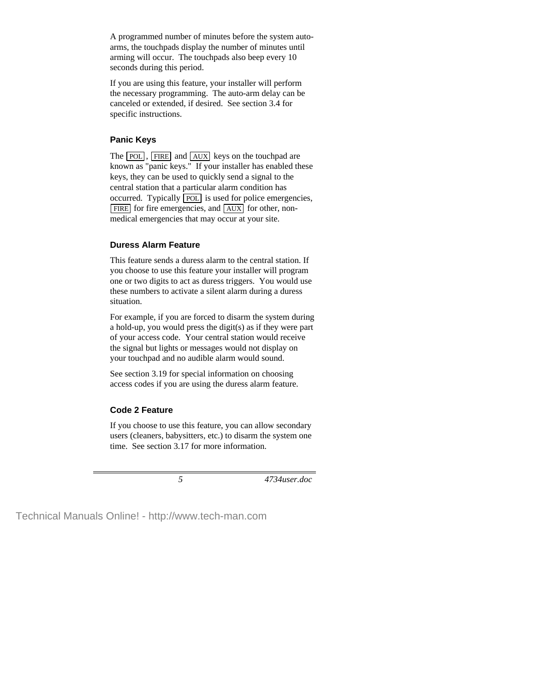A programmed number of minutes before the system autoarms, the touchpads display the number of minutes until arming will occur. The touchpads also beep every 10 seconds during this period.

If you are using this feature, your installer will perform the necessary programming. The auto-arm delay can be canceled or extended, if desired. See section 3.4 for specific instructions.

### **Panic Keys**

The POL, FIRE and AUX keys on the touchpad are known as "panic keys." If your installer has enabled these keys, they can be used to quickly send a signal to the central station that a particular alarm condition has occurred. Typically POL is used for police emergencies, FIRE for fire emergencies, and AUX for other, nonmedical emergencies that may occur at your site.

### **Duress Alarm Feature**

This feature sends a duress alarm to the central station. If you choose to use this feature your installer will program one or two digits to act as duress triggers. You would use these numbers to activate a silent alarm during a duress situation.

For example, if you are forced to disarm the system during a hold-up, you would press the digit(s) as if they were part of your access code. Your central station would receive the signal but lights or messages would not display on your touchpad and no audible alarm would sound.

See section 3.19 for special information on choosing access codes if you are using the duress alarm feature.

### **Code 2 Feature**

If you choose to use this feature, you can allow secondary users (cleaners, babysitters, etc.) to disarm the system one time. See section 3.17 for more information.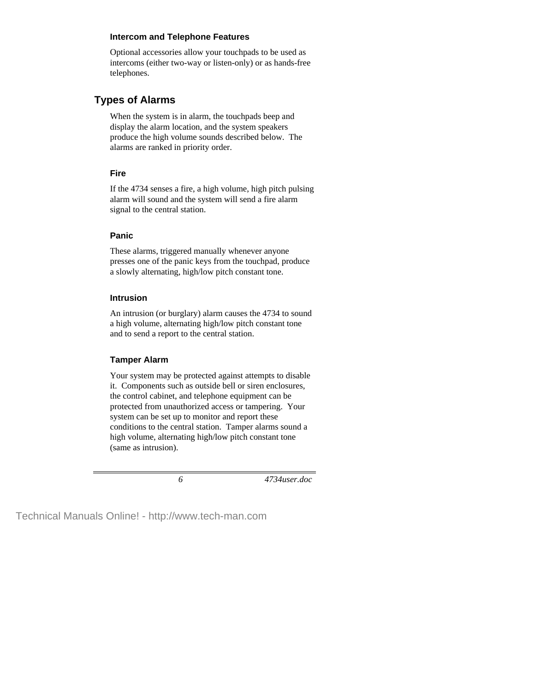#### **Intercom and Telephone Features**

Optional accessories allow your touchpads to be used as intercoms (either two-way or listen-only) or as hands-free telephones.

# **Types of Alarms**

When the system is in alarm, the touchpads beep and display the alarm location, and the system speakers produce the high volume sounds described below. The alarms are ranked in priority order.

#### **Fire**

If the 4734 senses a fire, a high volume, high pitch pulsing alarm will sound and the system will send a fire alarm signal to the central station.

### **Panic**

These alarms, triggered manually whenever anyone presses one of the panic keys from the touchpad, produce a slowly alternating, high/low pitch constant tone.

### **Intrusion**

An intrusion (or burglary) alarm causes the 4734 to sound a high volume, alternating high/low pitch constant tone and to send a report to the central station.

### **Tamper Alarm**

Your system may be protected against attempts to disable it. Components such as outside bell or siren enclosures, the control cabinet, and telephone equipment can be protected from unauthorized access or tampering. Your system can be set up to monitor and report these conditions to the central station. Tamper alarms sound a high volume, alternating high/low pitch constant tone (same as intrusion).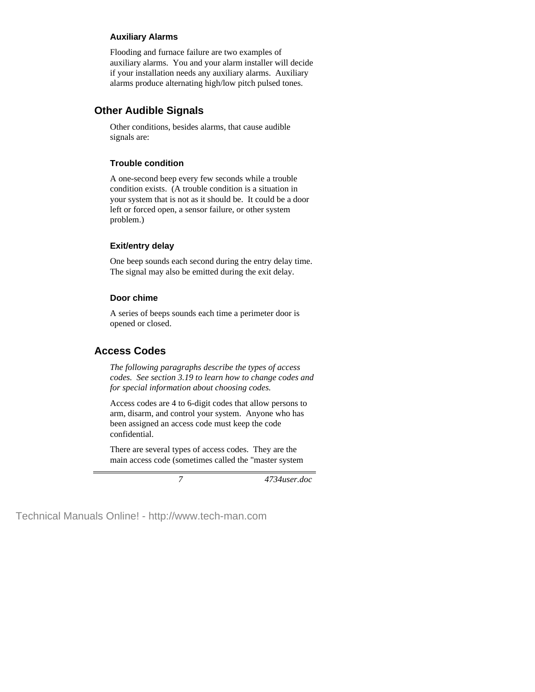### **Auxiliary Alarms**

Flooding and furnace failure are two examples of auxiliary alarms. You and your alarm installer will decide if your installation needs any auxiliary alarms. Auxiliary alarms produce alternating high/low pitch pulsed tones.

## **Other Audible Signals**

Other conditions, besides alarms, that cause audible signals are:

### **Trouble condition**

A one-second beep every few seconds while a trouble condition exists. (A trouble condition is a situation in your system that is not as it should be. It could be a door left or forced open, a sensor failure, or other system problem.)

### **Exit/entry delay**

One beep sounds each second during the entry delay time. The signal may also be emitted during the exit delay.

#### **Door chime**

A series of beeps sounds each time a perimeter door is opened or closed.

## **Access Codes**

*The following paragraphs describe the types of access codes. See section 3.19 to learn how to change codes and for special information about choosing codes.*

Access codes are 4 to 6-digit codes that allow persons to arm, disarm, and control your system. Anyone who has been assigned an access code must keep the code confidential.

There are several types of access codes. They are the main access code (sometimes called the "master system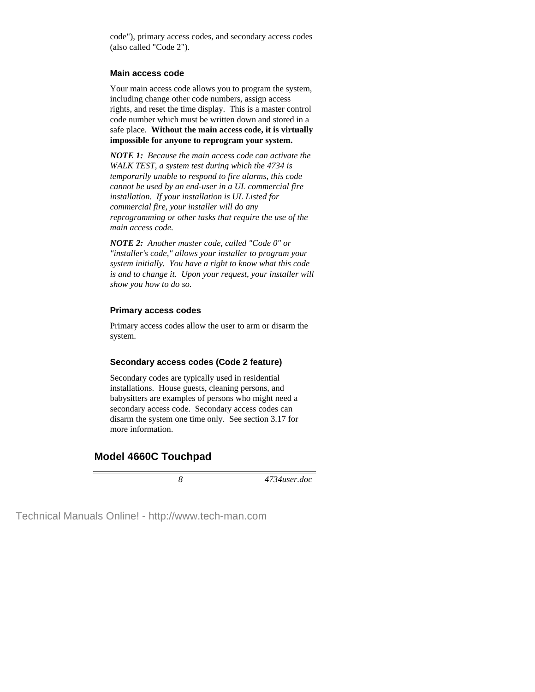code"), primary access codes, and secondary access codes (also called "Code 2").

#### **Main access code**

Your main access code allows you to program the system, including change other code numbers, assign access rights, and reset the time display. This is a master control code number which must be written down and stored in a safe place. **Without the main access code, it is virtually impossible for anyone to reprogram your system.**

*NOTE 1: Because the main access code can activate the WALK TEST, a system test during which the 4734 is temporarily unable to respond to fire alarms, this code cannot be used by an end-user in a UL commercial fire installation. If your installation is UL Listed for commercial fire, your installer will do any reprogramming or other tasks that require the use of the main access code.*

*NOTE 2: Another master code, called "Code 0" or "installer's code," allows your installer to program your system initially. You have a right to know what this code is and to change it. Upon your request, your installer will show you how to do so.*

#### **Primary access codes**

Primary access codes allow the user to arm or disarm the system.

#### **Secondary access codes (Code 2 feature)**

Secondary codes are typically used in residential installations. House guests, cleaning persons, and babysitters are examples of persons who might need a secondary access code. Secondary access codes can disarm the system one time only. See section 3.17 for more information.

## **Model 4660C Touchpad**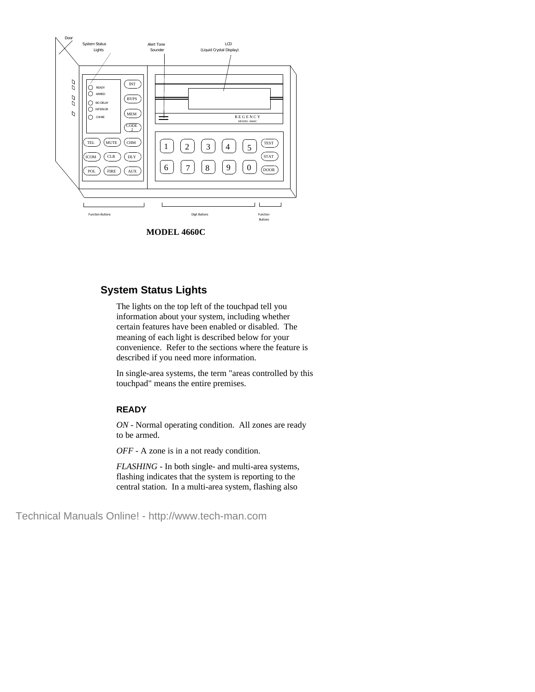

**MODEL 4660C**

# **System Status Lights**

The lights on the top left of the touchpad tell you information about your system, including whether certain features have been enabled or disabled. The meaning of each light is described below for your convenience. Refer to the sections where the feature is described if you need more information.

In single-area systems, the term "areas controlled by this touchpad" means the entire premises.

#### **READY**

*ON* - Normal operating condition. All zones are ready to be armed.

*OFF* - A zone is in a not ready condition.

*FLASHING* - In both single- and multi-area systems, flashing indicates that the system is reporting to the central station. In a multi-area system, flashing also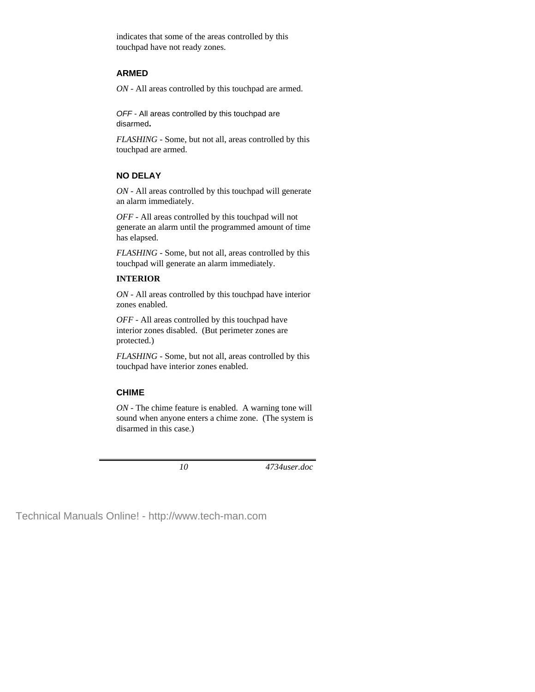indicates that some of the areas controlled by this touchpad have not ready zones.

#### **ARMED**

*ON* - All areas controlled by this touchpad are armed.

*OFF* - All areas controlled by this touchpad are disarmed**.**

*FLASHING* - Some, but not all, areas controlled by this touchpad are armed.

## **NO DELAY**

*ON* - All areas controlled by this touchpad will generate an alarm immediately.

*OFF* - All areas controlled by this touchpad will not generate an alarm until the programmed amount of time has elapsed.

*FLASHING* - Some, but not all, areas controlled by this touchpad will generate an alarm immediately.

#### **INTERIOR**

*ON* - All areas controlled by this touchpad have interior zones enabled.

*OFF* - All areas controlled by this touchpad have interior zones disabled. (But perimeter zones are protected.)

*FLASHING* - Some, but not all, areas controlled by this touchpad have interior zones enabled.

### **CHIME**

*ON* - The chime feature is enabled. A warning tone will sound when anyone enters a chime zone. (The system is disarmed in this case.)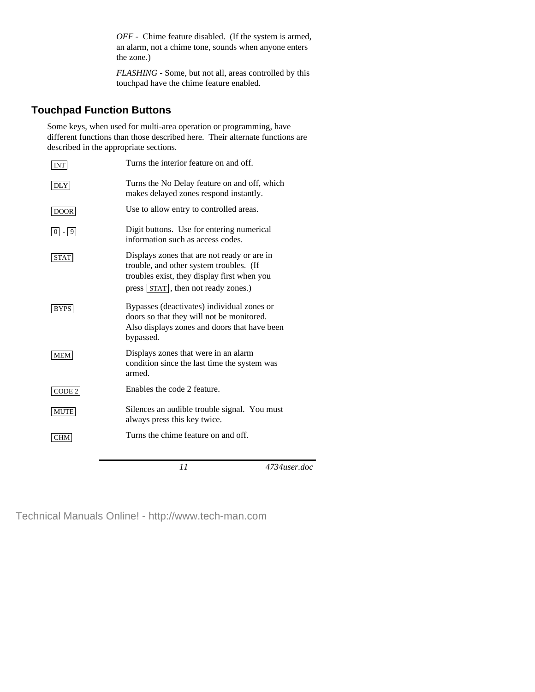*OFF* - Chime feature disabled. (If the system is armed, an alarm, not a chime tone, sounds when anyone enters the zone.)

*FLASHING* - Some, but not all, areas controlled by this touchpad have the chime feature enabled.

# **Touchpad Function Buttons**

Some keys, when used for multi-area operation or programming, have different functions than those described here. Their alternate functions are described in the appropriate sections.

| <b>INT</b>                | Turns the interior feature on and off.                                                                                                                                                 |
|---------------------------|----------------------------------------------------------------------------------------------------------------------------------------------------------------------------------------|
| DLY                       | Turns the No Delay feature on and off, which<br>makes delayed zones respond instantly.                                                                                                 |
| DOOR                      | Use to allow entry to controlled areas.                                                                                                                                                |
| $\boxed{0}$ - $\boxed{9}$ | Digit buttons. Use for entering numerical<br>information such as access codes.                                                                                                         |
| STAT                      | Displays zones that are not ready or are in<br>trouble, and other system troubles. (If<br>troubles exist, they display first when you<br>press $\left[\right]$ strategies strategies.) |
| <b>BYPS</b>               | Bypasses (deactivates) individual zones or<br>doors so that they will not be monitored.<br>Also displays zones and doors that have been<br>bypassed.                                   |
| <b>MEM</b>                | Displays zones that were in an alarm<br>condition since the last time the system was<br>armed.                                                                                         |
| $\vert$ CODE 2            | Enables the code 2 feature.                                                                                                                                                            |
| <b>MUTE</b>               | Silences an audible trouble signal. You must<br>always press this key twice.                                                                                                           |
| <b>CHM</b>                | Turns the chime feature on and off.                                                                                                                                                    |
|                           |                                                                                                                                                                                        |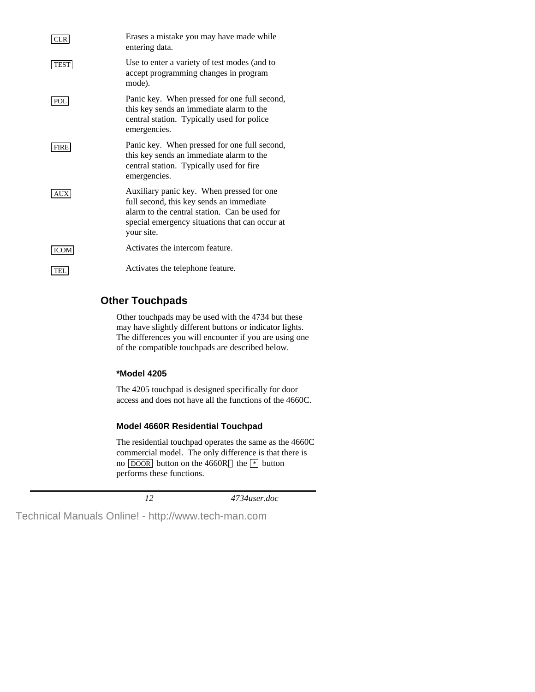| CLR.        | Erases a mistake you may have made while<br>entering data.                                                                                                                                             |
|-------------|--------------------------------------------------------------------------------------------------------------------------------------------------------------------------------------------------------|
| <b>TEST</b> | Use to enter a variety of test modes (and to<br>accept programming changes in program<br>mode).                                                                                                        |
| POL         | Panic key. When pressed for one full second,<br>this key sends an immediate alarm to the<br>central station. Typically used for police<br>emergencies.                                                 |
| <b>FIRE</b> | Panic key. When pressed for one full second,<br>this key sends an immediate alarm to the<br>central station. Typically used for fire<br>emergencies.                                                   |
| AUX         | Auxiliary panic key. When pressed for one<br>full second, this key sends an immediate<br>alarm to the central station. Can be used for<br>special emergency situations that can occur at<br>your site. |
| <b>ICOM</b> | Activates the intercom feature.                                                                                                                                                                        |
| <b>TEL</b>  | Activates the telephone feature.                                                                                                                                                                       |

# **Other Touchpads**

Other touchpads may be used with the 4734 but these may have slightly different buttons or indicator lights. The differences you will encounter if you are using one of the compatible touchpads are described below.

## **\*Model 4205**

The 4205 touchpad is designed specifically for door access and does not have all the functions of the 4660C.

## **Model 4660R Residential Touchpad**

The residential touchpad operates the same as the 4660C commercial model. The only difference is that there is no  $\overline{DOOR}$  button on the 4660R—the  $*$  button performs these functions.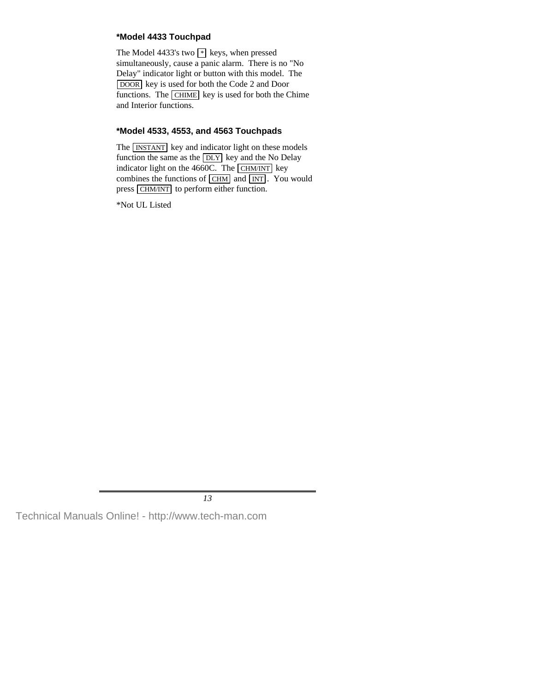## **\*Model 4433 Touchpad**

The Model 4433's two  $*$  keys, when pressed simultaneously, cause a panic alarm. There is no "No Delay" indicator light or button with this model. The DOOR key is used for both the Code 2 and Door functions. The CHIME key is used for both the Chime and Interior functions.

## **\*Model 4533, 4553, and 4563 Touchpads**

The **INSTANT** key and indicator light on these models function the same as the  $\overline{DLY}$  key and the No Delay indicator light on the  $4660C$ . The CHM/INT key combines the functions of  $\boxed{\text{CHM}}$  and  $\boxed{\text{INT}}$ . You would press CHM/INT to perform either function.

\*Not UL Listed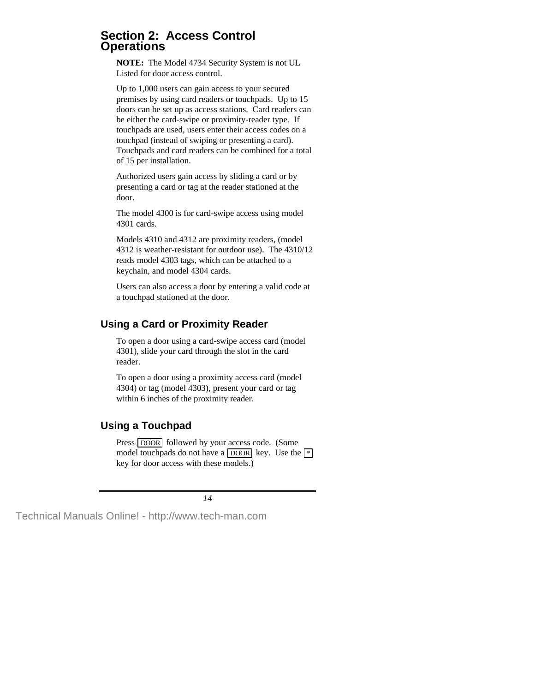## **Section 2: Access Control Operations**

**NOTE:** The Model 4734 Security System is not UL Listed for door access control.

Up to 1,000 users can gain access to your secured premises by using card readers or touchpads. Up to 15 doors can be set up as access stations. Card readers can be either the card-swipe or proximity-reader type. If touchpads are used, users enter their access codes on a touchpad (instead of swiping or presenting a card). Touchpads and card readers can be combined for a total of 15 per installation.

Authorized users gain access by sliding a card or by presenting a card or tag at the reader stationed at the door.

The model 4300 is for card-swipe access using model 4301 cards.

Models 4310 and 4312 are proximity readers, (model 4312 is weather-resistant for outdoor use). The 4310/12 reads model 4303 tags, which can be attached to a keychain, and model 4304 cards.

Users can also access a door by entering a valid code at a touchpad stationed at the door.

# **Using a Card or Proximity Reader**

To open a door using a card-swipe access card (model 4301), slide your card through the slot in the card reader.

To open a door using a proximity access card (model 4304) or tag (model 4303), present your card or tag within 6 inches of the proximity reader.

# **Using a Touchpad**

Press DOOR followed by your access code. (Some model touchpads do not have a  $\overline{DOOR}$  key. Use the  $\lceil * \rceil$ key for door access with these models.)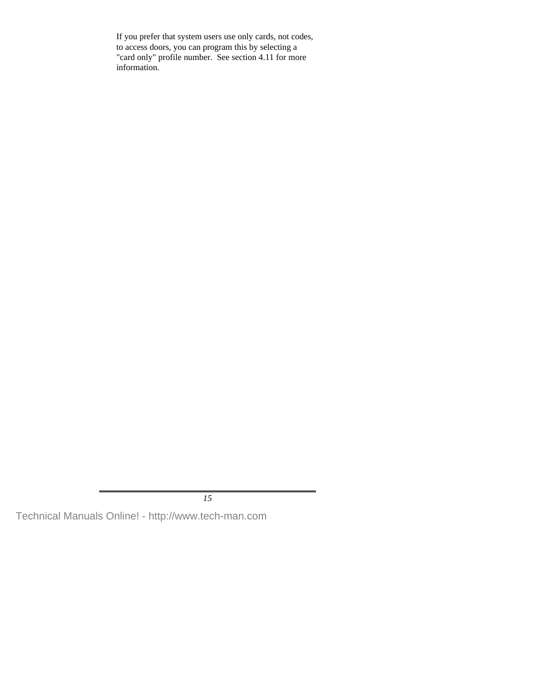If you prefer that system users use only cards, not codes, to access doors, you can program this by selecting a "card only" profile number. See section 4.11 for more information.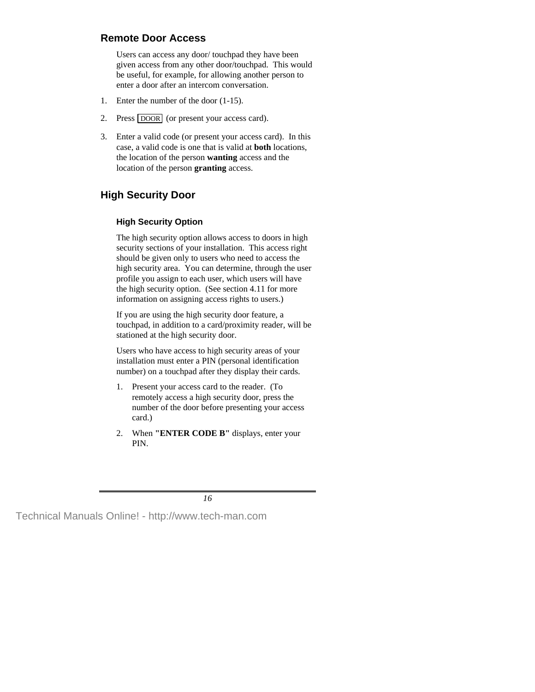# **Remote Door Access**

Users can access any door/ touchpad they have been given access from any other door/touchpad. This would be useful, for example, for allowing another person to enter a door after an intercom conversation.

- 1. Enter the number of the door (1-15).
- 2. Press DOOR (or present your access card).
- 3. Enter a valid code (or present your access card). In this case, a valid code is one that is valid at **both** locations, the location of the person **wanting** access and the location of the person **granting** access.

# **High Security Door**

## **High Security Option**

The high security option allows access to doors in high security sections of your installation. This access right should be given only to users who need to access the high security area. You can determine, through the user profile you assign to each user, which users will have the high security option. (See section 4.11 for more information on assigning access rights to users.)

If you are using the high security door feature, a touchpad, in addition to a card/proximity reader, will be stationed at the high security door.

Users who have access to high security areas of your installation must enter a PIN (personal identification number) on a touchpad after they display their cards.

- 1. Present your access card to the reader. (To remotely access a high security door, press the number of the door before presenting your access card.)
- 2. When **"ENTER CODE B"** displays, enter your PIN.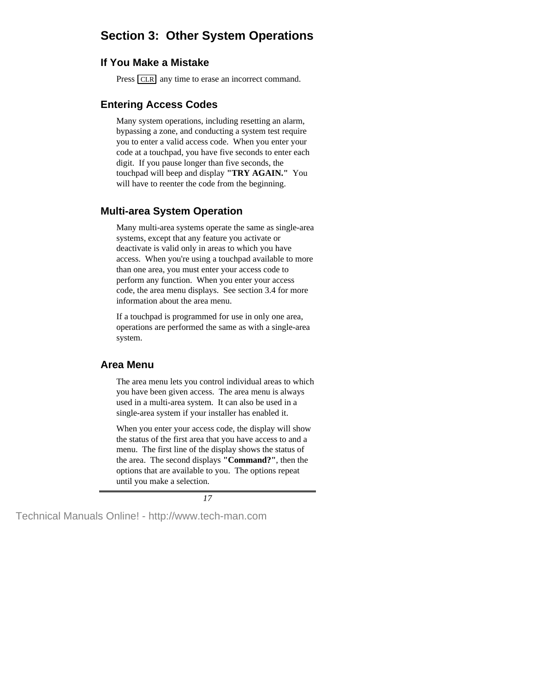# **Section 3: Other System Operations**

## **If You Make a Mistake**

Press **CLR** any time to erase an incorrect command.

# **Entering Access Codes**

Many system operations, including resetting an alarm, bypassing a zone, and conducting a system test require you to enter a valid access code. When you enter your code at a touchpad, you have five seconds to enter each digit. If you pause longer than five seconds, the touchpad will beep and display **"TRY AGAIN."** You will have to reenter the code from the beginning.

# **Multi-area System Operation**

Many multi-area systems operate the same as single-area systems, except that any feature you activate or deactivate is valid only in areas to which you have access. When you're using a touchpad available to more than one area, you must enter your access code to perform any function. When you enter your access code, the area menu displays. See section 3.4 for more information about the area menu.

If a touchpad is programmed for use in only one area, operations are performed the same as with a single-area system.

## **Area Menu**

The area menu lets you control individual areas to which you have been given access. The area menu is always used in a multi-area system. It can also be used in a single-area system if your installer has enabled it.

When you enter your access code, the display will show the status of the first area that you have access to and a menu. The first line of the display shows the status of the area. The second displays **"Command?"**, then the options that are available to you. The options repeat until you make a selection.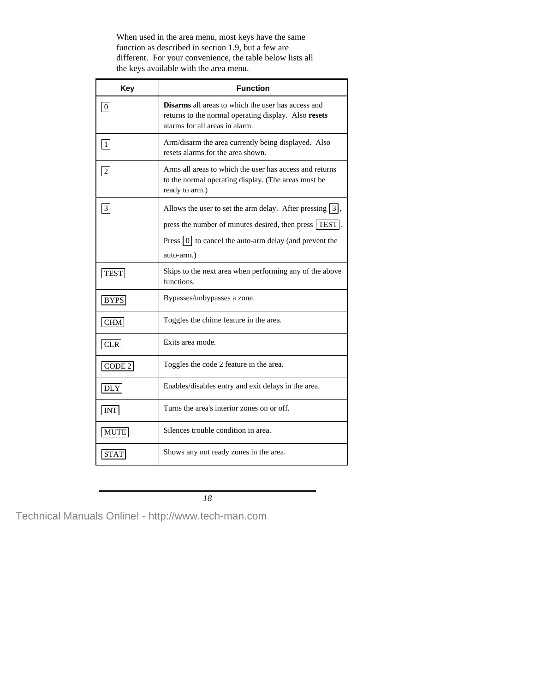When used in the area menu, most keys have the same function as described in section 1.9, but a few are different. For your convenience, the table below lists all the keys available with the area menu.

| Key               | <b>Function</b>                                                                                                                                                                                           |  |  |  |
|-------------------|-----------------------------------------------------------------------------------------------------------------------------------------------------------------------------------------------------------|--|--|--|
| 0                 | <b>Disarms</b> all areas to which the user has access and<br>returns to the normal operating display. Also resets<br>alarms for all areas in alarm.                                                       |  |  |  |
| $\vert 1 \vert$   | Arm/disarm the area currently being displayed. Also<br>resets alarms for the area shown.                                                                                                                  |  |  |  |
| $\boxed{2}$       | Arms all areas to which the user has access and returns<br>to the normal operating display. (The areas must be<br>ready to arm.)                                                                          |  |  |  |
| 3                 | Allows the user to set the arm delay. After pressing $\boxed{3}$ ,<br>press the number of minutes desired, then press   TEST .<br>Press $ 0 $ to cancel the auto-arm delay (and prevent the<br>auto-arm.) |  |  |  |
| <b>TEST</b>       | Skips to the next area when performing any of the above<br>functions.                                                                                                                                     |  |  |  |
| <b>BYPS</b>       | Bypasses/unbypasses a zone.                                                                                                                                                                               |  |  |  |
| CHM               | Toggles the chime feature in the area.                                                                                                                                                                    |  |  |  |
| <b>CLR</b>        | Exits area mode.                                                                                                                                                                                          |  |  |  |
| CODE <sub>2</sub> | Toggles the code 2 feature in the area.                                                                                                                                                                   |  |  |  |
| <b>DLY</b>        | Enables/disables entry and exit delays in the area.                                                                                                                                                       |  |  |  |
| INT               | Turns the area's interior zones on or off.                                                                                                                                                                |  |  |  |
| MUTE              | Silences trouble condition in area.                                                                                                                                                                       |  |  |  |
| <b>STAT</b>       | Shows any not ready zones in the area.                                                                                                                                                                    |  |  |  |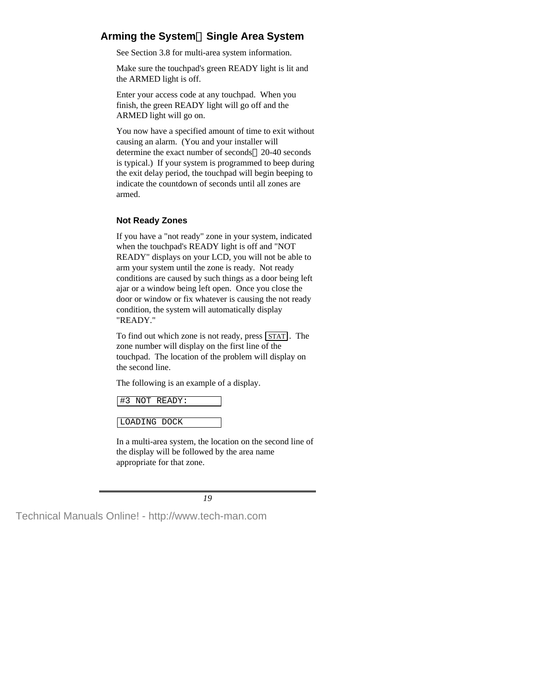# **Arming the SystemSingle Area System**

See Section 3.8 for multi-area system information.

Make sure the touchpad's green READY light is lit and the ARMED light is off.

Enter your access code at any touchpad. When you finish, the green READY light will go off and the ARMED light will go on.

You now have a specified amount of time to exit without causing an alarm. (You and your installer will determine the exact number of seconds—20-40 seconds is typical.) If your system is programmed to beep during the exit delay period, the touchpad will begin beeping to indicate the countdown of seconds until all zones are armed.

## **Not Ready Zones**

If you have a "not ready" zone in your system, indicated when the touchpad's READY light is off and "NOT READY" displays on your LCD, you will not be able to arm your system until the zone is ready. Not ready conditions are caused by such things as a door being left ajar or a window being left open. Once you close the door or window or fix whatever is causing the not ready condition, the system will automatically display "READY."

To find out which zone is not ready, press  $STAT$ . The zone number will display on the first line of the touchpad. The location of the problem will display on the second line.

The following is an example of a display.

```
#3 NOT READY:
```
LOADING DOCK

In a multi-area system, the location on the second line of the display will be followed by the area name appropriate for that zone.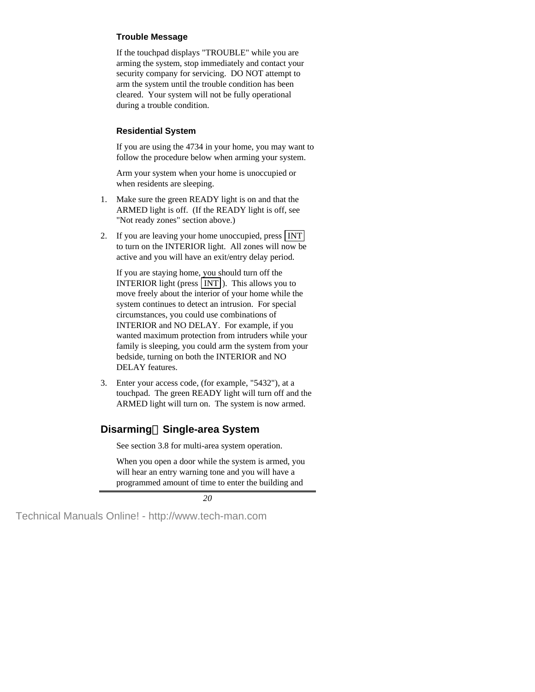### **Trouble Message**

If the touchpad displays "TROUBLE" while you are arming the system, stop immediately and contact your security company for servicing. DO NOT attempt to arm the system until the trouble condition has been cleared. Your system will not be fully operational during a trouble condition.

### **Residential System**

If you are using the 4734 in your home, you may want to follow the procedure below when arming your system.

Arm your system when your home is unoccupied or when residents are sleeping.

- 1. Make sure the green READY light is on and that the ARMED light is off. (If the READY light is off, see "Not ready zones" section above.)
- 2. If you are leaving your home unoccupied, press INT to turn on the INTERIOR light. All zones will now be active and you will have an exit/entry delay period.

If you are staying home, you should turn off the **INTERIOR** light (press  $\text{INT}$ ). This allows you to move freely about the interior of your home while the system continues to detect an intrusion. For special circumstances, you could use combinations of INTERIOR and NO DELAY. For example, if you wanted maximum protection from intruders while your family is sleeping, you could arm the system from your bedside, turning on both the INTERIOR and NO DELAY features.

3. Enter your access code, (for example, "5432"), at a touchpad. The green READY light will turn off and the ARMED light will turn on. The system is now armed.

# **Disarming-Single-area System**

See section 3.8 for multi-area system operation.

When you open a door while the system is armed, you will hear an entry warning tone and you will have a programmed amount of time to enter the building and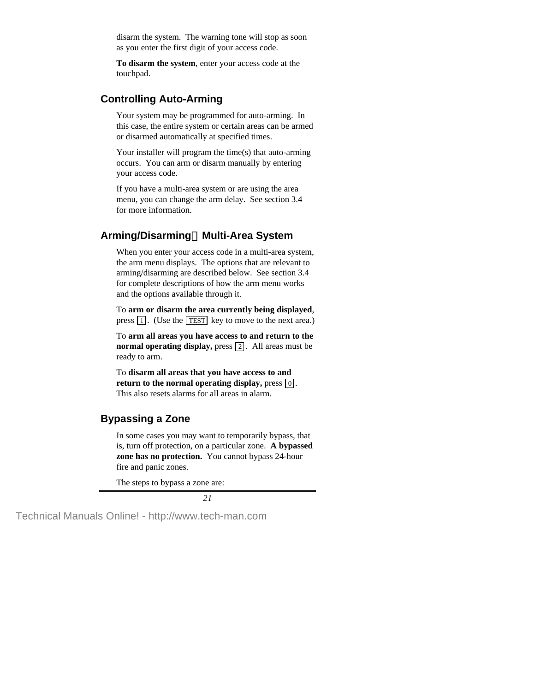disarm the system. The warning tone will stop as soon as you enter the first digit of your access code.

**To disarm the system**, enter your access code at the touchpad.

## **Controlling Auto-Arming**

Your system may be programmed for auto-arming. In this case, the entire system or certain areas can be armed or disarmed automatically at specified times.

Your installer will program the time(s) that auto-arming occurs. You can arm or disarm manually by entering your access code.

If you have a multi-area system or are using the area menu, you can change the arm delay. See section 3.4 for more information.

# **Arming/DisarmingMulti-Area System**

When you enter your access code in a multi-area system, the arm menu displays. The options that are relevant to arming/disarming are described below. See section 3.4 for complete descriptions of how the arm menu works and the options available through it.

To **arm or disarm the area currently being displayed**, press  $\boxed{1}$ . (Use the TEST key to move to the next area.)

To **arm all areas you have access to and return to the normal operating display,** press 2. All areas must be ready to arm.

To **disarm all areas that you have access to and return to the normal operating display,** press  $\boxed{0}$ . This also resets alarms for all areas in alarm.

# **Bypassing a Zone**

In some cases you may want to temporarily bypass, that is, turn off protection, on a particular zone. **A bypassed zone has no protection.** You cannot bypass 24-hour fire and panic zones.

The steps to bypass a zone are: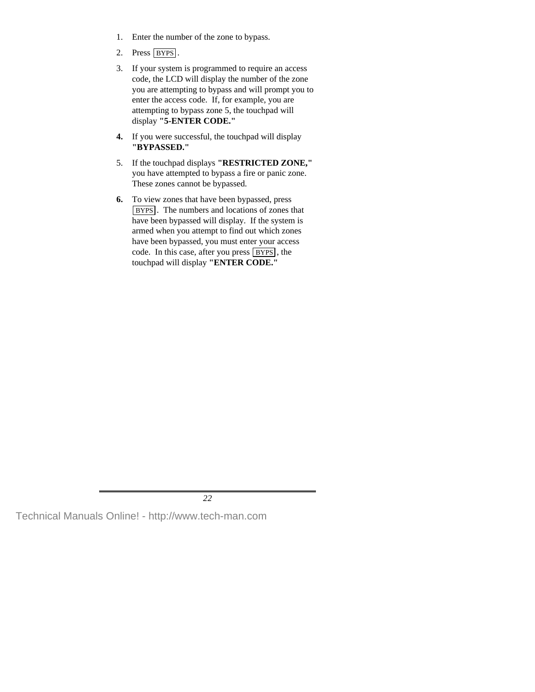- 1. Enter the number of the zone to bypass.
- 2. Press BYPS.
- 3. If your system is programmed to require an access code, the LCD will display the number of the zone you are attempting to bypass and will prompt you to enter the access code. If, for example, you are attempting to bypass zone 5, the touchpad will display **"5-ENTER CODE."**
- **4.** If you were successful, the touchpad will display **"BYPASSED."**
- 5. If the touchpad displays **"RESTRICTED ZONE,"** you have attempted to bypass a fire or panic zone. These zones cannot be bypassed.
- **6.** To view zones that have been bypassed, press BYPS . The numbers and locations of zones that have been bypassed will display. If the system is armed when you attempt to find out which zones have been bypassed, you must enter your access code. In this case, after you press  $BYPS$ , the touchpad will display **"ENTER CODE."**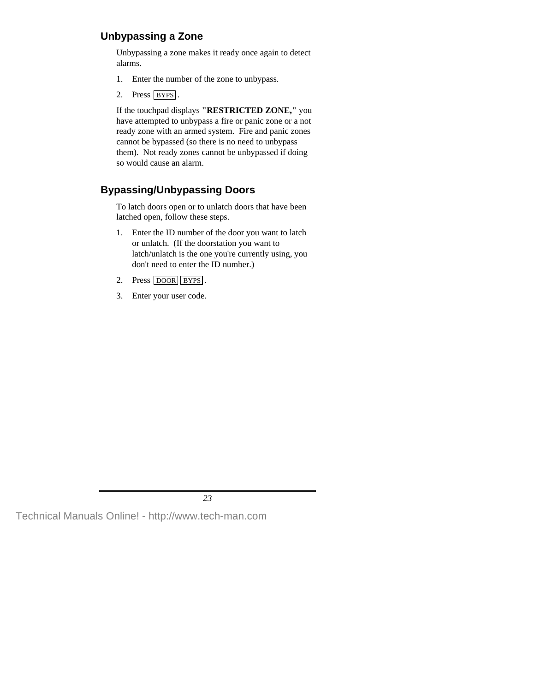# **Unbypassing a Zone**

Unbypassing a zone makes it ready once again to detect alarms.

- 1. Enter the number of the zone to unbypass.
- 2. Press BYPS.

If the touchpad displays **"RESTRICTED ZONE,"** you have attempted to unbypass a fire or panic zone or a not ready zone with an armed system. Fire and panic zones cannot be bypassed (so there is no need to unbypass them). Not ready zones cannot be unbypassed if doing so would cause an alarm.

# **Bypassing/Unbypassing Doors**

To latch doors open or to unlatch doors that have been latched open, follow these steps.

- 1. Enter the ID number of the door you want to latch or unlatch. (If the doorstation you want to latch/unlatch is the one you're currently using, you don't need to enter the ID number.)
- 2. Press DOOR BYPS.
- 3. Enter your user code.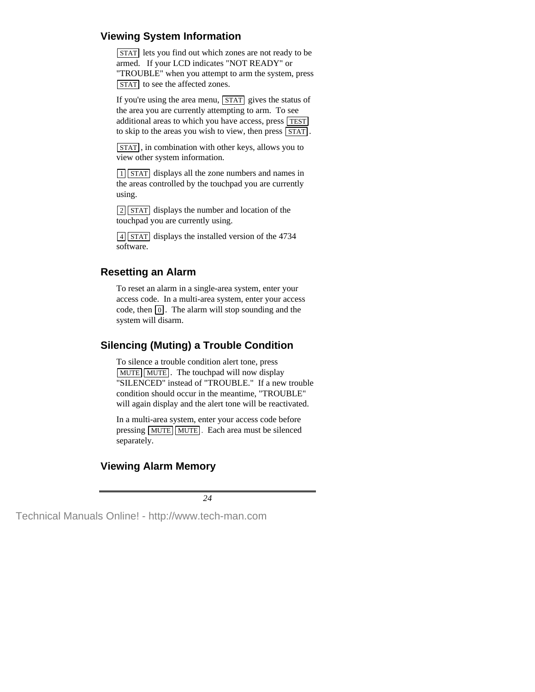# **Viewing System Information**

**STAT** lets you find out which zones are not ready to be armed. If your LCD indicates "NOT READY" or "TROUBLE" when you attempt to arm the system, press STAT to see the affected zones.

If you're using the area menu,  $STAT$  gives the status of the area you are currently attempting to arm. To see additional areas to which you have access, press TEST to skip to the areas you wish to view, then press  $\sqrt{STAT}$ .

STAT , in combination with other keys, allows you to view other system information.

1 STAT displays all the zone numbers and names in the areas controlled by the touchpad you are currently using.

 $\sqrt{2}$  STAT displays the number and location of the touchpad you are currently using.

4 STAT displays the installed version of the 4734 software.

# **Resetting an Alarm**

To reset an alarm in a single-area system, enter your access code. In a multi-area system, enter your access code, then  $\lceil 0 \rceil$ . The alarm will stop sounding and the system will disarm.

# **Silencing (Muting) a Trouble Condition**

To silence a trouble condition alert tone, press MUTE MUTE. The touchpad will now display "SILENCED" instead of "TROUBLE." If a new trouble condition should occur in the meantime, "TROUBLE" will again display and the alert tone will be reactivated.

In a multi-area system, enter your access code before pressing  $MUTE$  MUTE. Each area must be silenced separately.

# **Viewing Alarm Memory**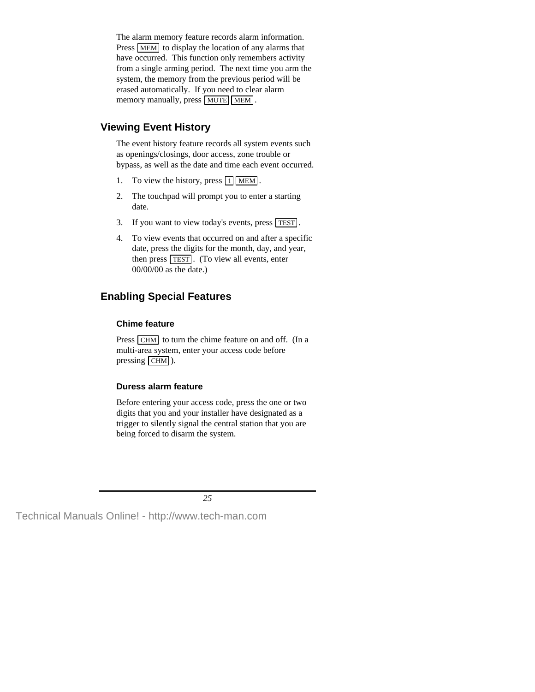The alarm memory feature records alarm information. Press MEM to display the location of any alarms that have occurred. This function only remembers activity from a single arming period. The next time you arm the system, the memory from the previous period will be erased automatically. If you need to clear alarm memory manually, press MUTE MEM.

## **Viewing Event History**

The event history feature records all system events such as openings/closings, door access, zone trouble or bypass, as well as the date and time each event occurred.

- 1. To view the history, press  $\boxed{1}$  MEM.
- 2. The touchpad will prompt you to enter a starting date.
- 3. If you want to view today's events, press TEST .
- 4. To view events that occurred on and after a specific date, press the digits for the month, day, and year, then press **TEST**. (To view all events, enter 00/00/00 as the date.)

# **Enabling Special Features**

#### **Chime feature**

Press CHM to turn the chime feature on and off. (In a multi-area system, enter your access code before pressing  $CHM$ ).

#### **Duress alarm feature**

Before entering your access code, press the one or two digits that you and your installer have designated as a trigger to silently signal the central station that you are being forced to disarm the system.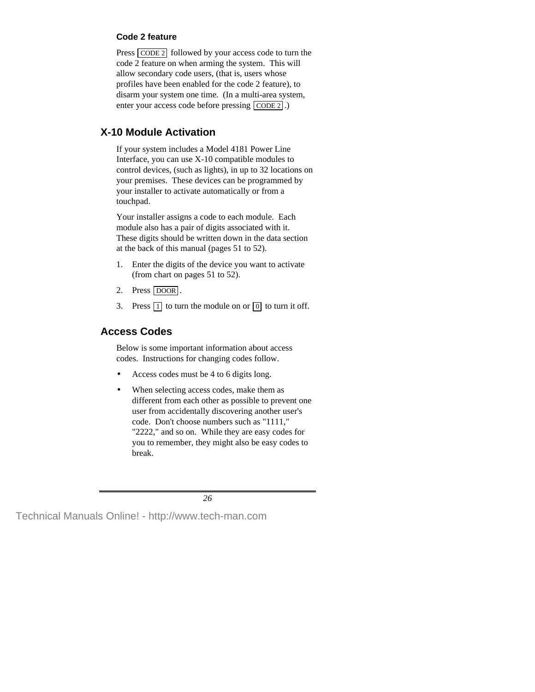### **Code 2 feature**

Press CODE 2 followed by your access code to turn the code 2 feature on when arming the system. This will allow secondary code users, (that is, users whose profiles have been enabled for the code 2 feature), to disarm your system one time. (In a multi-area system, enter your access code before pressing CODE 2.)

# **X-10 Module Activation**

If your system includes a Model 4181 Power Line Interface, you can use X-10 compatible modules to control devices, (such as lights), in up to 32 locations on your premises. These devices can be programmed by your installer to activate automatically or from a touchpad.

Your installer assigns a code to each module. Each module also has a pair of digits associated with it. These digits should be written down in the data section at the back of this manual (pages 51 to 52).

- 1. Enter the digits of the device you want to activate (from chart on pages 51 to 52).
- 2. Press DOOR.
- 3. Press  $\boxed{1}$  to turn the module on or  $\boxed{0}$  to turn it off.

# **Access Codes**

Below is some important information about access codes. Instructions for changing codes follow.

- Access codes must be 4 to 6 digits long.
- When selecting access codes, make them as different from each other as possible to prevent one user from accidentally discovering another user's code. Don't choose numbers such as "1111," "2222," and so on. While they are easy codes for you to remember, they might also be easy codes to break.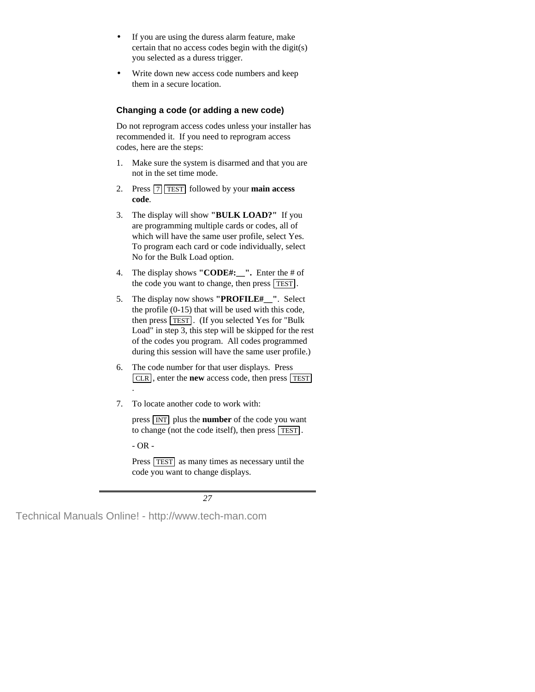- If you are using the duress alarm feature, make certain that no access codes begin with the digit(s) you selected as a duress trigger.
- Write down new access code numbers and keep them in a secure location.

## **Changing a code (or adding a new code)**

Do not reprogram access codes unless your installer has recommended it. If you need to reprogram access codes, here are the steps:

- 1. Make sure the system is disarmed and that you are not in the set time mode.
- 2. Press  $\boxed{7}$  TEST followed by your **main access code**.
- 3. The display will show **"BULK LOAD?"** If you are programming multiple cards or codes, all of which will have the same user profile, select Yes. To program each card or code individually, select No for the Bulk Load option.
- 4. The display shows **"CODE#:\_\_".** Enter the # of the code you want to change, then press TEST .
- 5. The display now shows **"PROFILE#\_\_"**. Select the profile (0-15) that will be used with this code, then press TEST . (If you selected Yes for "Bulk Load" in step 3, this step will be skipped for the rest of the codes you program. All codes programmed during this session will have the same user profile.)
- 6. The code number for that user displays. Press CLR , enter the **new** access code, then press TEST .
- 7. To locate another code to work with:

press INT plus the **number** of the code you want to change (not the code itself), then press  $\overline{\text{TEST}}$ .

- OR -

Press TEST as many times as necessary until the code you want to change displays.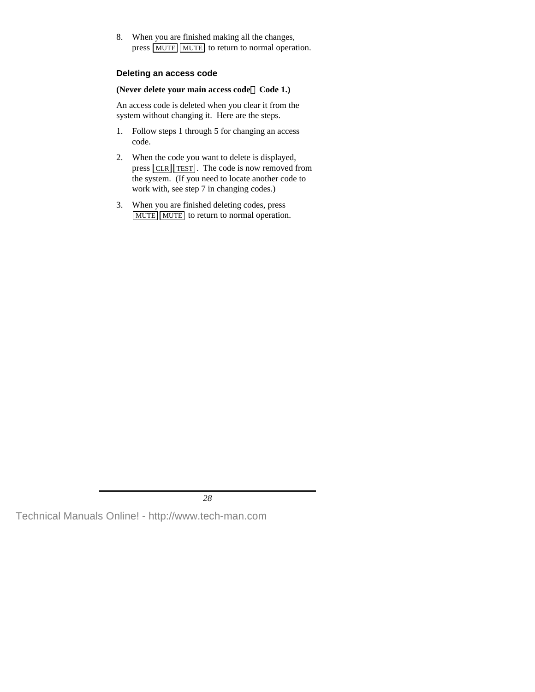8. When you are finished making all the changes, press MUTE MUTE to return to normal operation.

#### **Deleting an access code**

#### **(Never delete your main access code—Code 1.)**

An access code is deleted when you clear it from the system without changing it. Here are the steps.

- 1. Follow steps 1 through 5 for changing an access code.
- 2. When the code you want to delete is displayed, press  $\boxed{\text{CLR}}$  TEST. The code is now removed from the system. (If you need to locate another code to work with, see step 7 in changing codes.)
- 3. When you are finished deleting codes, press MUTE MUTE to return to normal operation.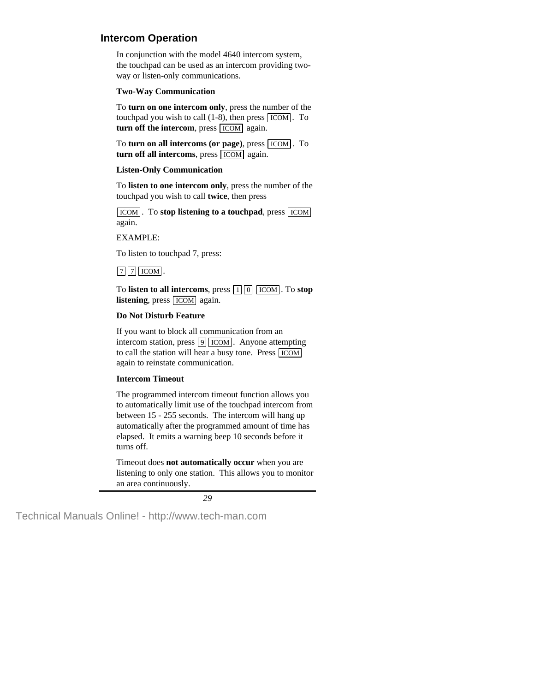## **Intercom Operation**

In conjunction with the model 4640 intercom system, the touchpad can be used as an intercom providing twoway or listen-only communications.

#### **Two-Way Communication**

To **turn on one intercom only**, press the number of the touchpad you wish to call  $(1-8)$ , then press  $\boxed{ICOM}$ . To **turn off the intercom**, press **ICOM** again.

To **turn on all intercoms (or page)**, press **ICOM**. To **turn off all intercoms**, press **ICOM** again.

### **Listen-Only Communication**

To **listen to one intercom only**, press the number of the touchpad you wish to call **twice**, then press

**ICOM**. To stop listening to a touchpad, press **ICOM** again.

EXAMPLE:

To listen to touchpad 7, press:

## $\boxed{7}$   $\boxed{7}$  ICOM.

To **listen to all intercoms**, press  $\boxed{1}$   $\boxed{0}$   $\boxed{\text{ICOM}}$ . To **stop listening**, press  $\overline{ICOM}$  again.

### **Do Not Disturb Feature**

If you want to block all communication from an intercom station, press  $|9|$  ICOM . Anyone attempting to call the station will hear a busy tone. Press ICOM again to reinstate communication.

### **Intercom Timeout**

The programmed intercom timeout function allows you to automatically limit use of the touchpad intercom from between 15 - 255 seconds. The intercom will hang up automatically after the programmed amount of time has elapsed. It emits a warning beep 10 seconds before it turns off.

Timeout does **not automatically occur** when you are listening to only one station. This allows you to monitor an area continuously.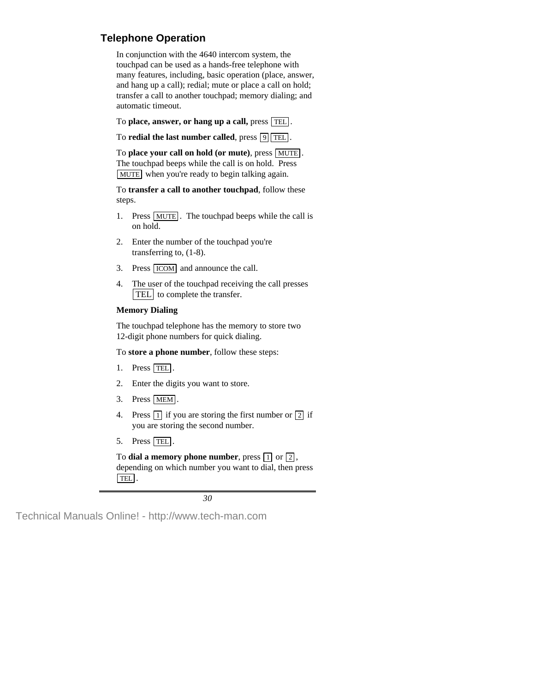# **Telephone Operation**

In conjunction with the 4640 intercom system, the touchpad can be used as a hands-free telephone with many features, including, basic operation (place, answer, and hang up a call); redial; mute or place a call on hold; transfer a call to another touchpad; memory dialing; and automatic timeout.

To **place, answer, or hang up a call,** press TEL .

To **redial the last number called**, press  $\boxed{9}$  TEL.

To **place your call on hold (or mute)**, press MUTE . The touchpad beeps while the call is on hold. Press MUTE when you're ready to begin talking again.

To **transfer a call to another touchpad**, follow these steps.

- 1. Press MUTE. The touchpad beeps while the call is on hold.
- 2. Enter the number of the touchpad you're transferring to, (1-8).
- 3. Press  $\boxed{ICOM}$  and announce the call.
- 4. The user of the touchpad receiving the call presses TEL to complete the transfer.

#### **Memory Dialing**

The touchpad telephone has the memory to store two 12-digit phone numbers for quick dialing.

To **store a phone number**, follow these steps:

- 1. Press TEL.
- 2. Enter the digits you want to store.
- 3. Press MEM .
- 4. Press  $\boxed{1}$  if you are storing the first number or  $\boxed{2}$  if you are storing the second number.
- 5. Press TEL.

To **dial a memory phone number**, press  $\boxed{1}$  or  $\boxed{2}$ , depending on which number you want to dial, then press TEL .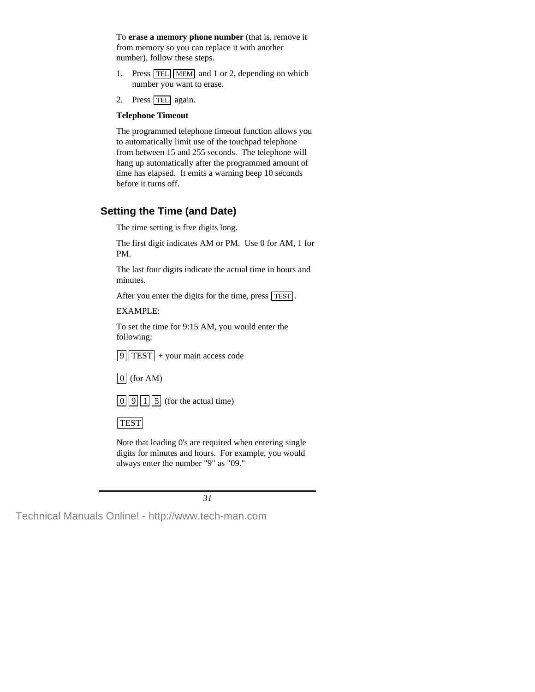To **erase a memory phone number** (that is, remove it from memory so you can replace it with another number), follow these steps.

- 1. Press  $TEL$  MEM and 1 or 2, depending on which number you want to erase.
- 2. Press TEL again.

### **Telephone Timeout**

The programmed telephone timeout function allows you to automatically limit use of the touchpad telephone from between 15 and 255 seconds. The telephone will hang up automatically after the programmed amount of time has elapsed. It emits a warning beep 10 seconds before it turns off.

# **Setting the Time (and Date)**

The time setting is five digits long.

The first digit indicates AM or PM. Use 0 for AM, 1 for PM.

The last four digits indicate the actual time in hours and minutes.

After you enter the digits for the time, press TEST.

EXAMPLE:

To set the time for 9:15 AM, you would enter the following:

 $|9|$  TEST + your main access code

 $\boxed{0}$  (for AM)

 $\boxed{0}\boxed{9}\boxed{1}\boxed{5}$  (for the actual time)

TEST

Note that leading 0's are required when entering single digits for minutes and hours. For example, you would always enter the number "9" as "09."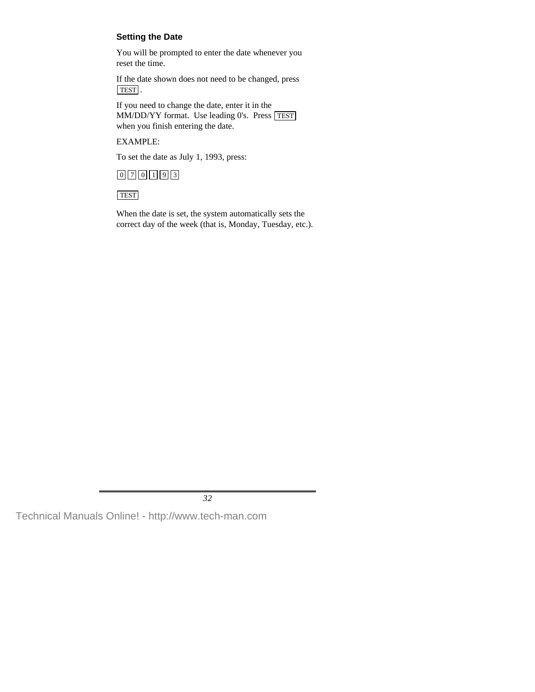## **Setting the Date**

You will be prompted to enter the date whenever you reset the time.

If the date shown does not need to be changed, press TEST .

If you need to change the date, enter it in the MM/DD/YY format. Use leading 0's. Press TEST when you finish entering the date.

### EXAMPLE:

To set the date as July 1, 1993, press:



**TEST** 

When the date is set, the system automatically sets the correct day of the week (that is, Monday, Tuesday, etc.).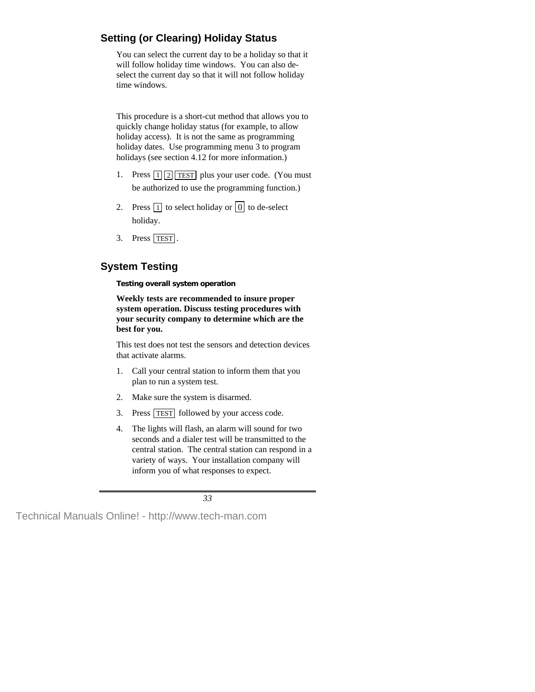# **Setting (or Clearing) Holiday Status**

You can select the current day to be a holiday so that it will follow holiday time windows. You can also deselect the current day so that it will not follow holiday time windows.

This procedure is a short-cut method that allows you to quickly change holiday status (for example, to allow holiday access). It is not the same as programming holiday dates. Use programming menu 3 to program holidays (see section 4.12 for more information.)

- 1. Press  $\lceil 1 \rceil \lceil 2 \rceil$  TEST plus your user code. (You must be authorized to use the programming function.)
- 2. Press  $\boxed{1}$  to select holiday or  $\boxed{0}$  to de-select holiday.
- 3. Press TEST.

# **System Testing**

**Testing overall system operation**

**Weekly tests are recommended to insure proper system operation. Discuss testing procedures with your security company to determine which are the best for you.**

This test does not test the sensors and detection devices that activate alarms.

- 1. Call your central station to inform them that you plan to run a system test.
- 2. Make sure the system is disarmed.
- 3. Press TEST followed by your access code.
- 4. The lights will flash, an alarm will sound for two seconds and a dialer test will be transmitted to the central station. The central station can respond in a variety of ways. Your installation company will inform you of what responses to expect.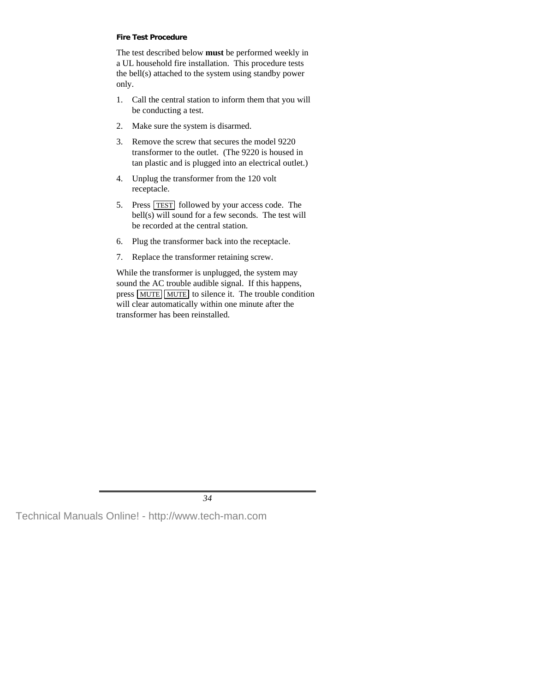#### **Fire Test Procedure**

The test described below **must** be performed weekly in a UL household fire installation. This procedure tests the bell(s) attached to the system using standby power only.

- 1. Call the central station to inform them that you will be conducting a test.
- 2. Make sure the system is disarmed.
- 3. Remove the screw that secures the model 9220 transformer to the outlet. (The 9220 is housed in tan plastic and is plugged into an electrical outlet.)
- 4. Unplug the transformer from the 120 volt receptacle.
- 5. Press TEST followed by your access code. The bell(s) will sound for a few seconds. The test will be recorded at the central station.
- 6. Plug the transformer back into the receptacle.
- 7. Replace the transformer retaining screw.

While the transformer is unplugged, the system may sound the AC trouble audible signal. If this happens, press MUTE MUTE to silence it. The trouble condition will clear automatically within one minute after the transformer has been reinstalled.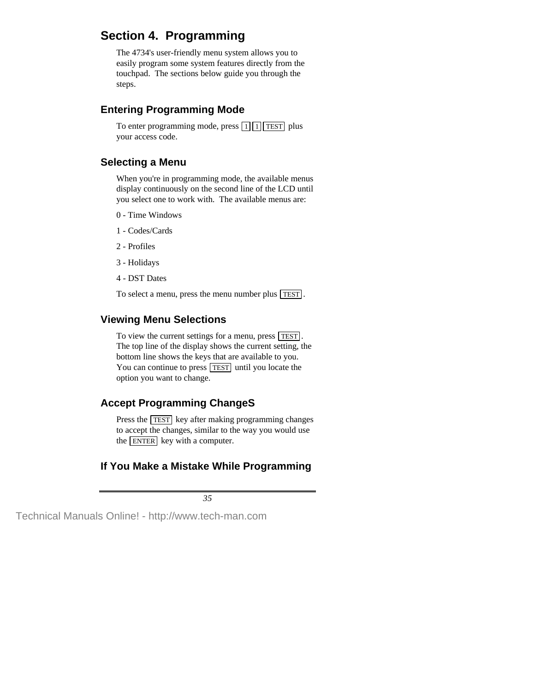# **Section 4. Programming**

The 4734's user-friendly menu system allows you to easily program some system features directly from the touchpad. The sections below guide you through the steps.

# **Entering Programming Mode**

To enter programming mode, press  $\boxed{1}$   $\boxed{1}$  TEST plus your access code.

# **Selecting a Menu**

When you're in programming mode, the available menus display continuously on the second line of the LCD until you select one to work with. The available menus are:

- 0 Time Windows
- 1 Codes/Cards
- 2 Profiles
- 3 Holidays
- 4 DST Dates

To select a menu, press the menu number plus TEST .

# **Viewing Menu Selections**

To view the current settings for a menu, press **TEST**. The top line of the display shows the current setting, the bottom line shows the keys that are available to you. You can continue to press **TEST** until you locate the option you want to change.

# **Accept Programming ChangeS**

Press the **TEST** key after making programming changes to accept the changes, similar to the way you would use the ENTER key with a computer.

# **If You Make a Mistake While Programming**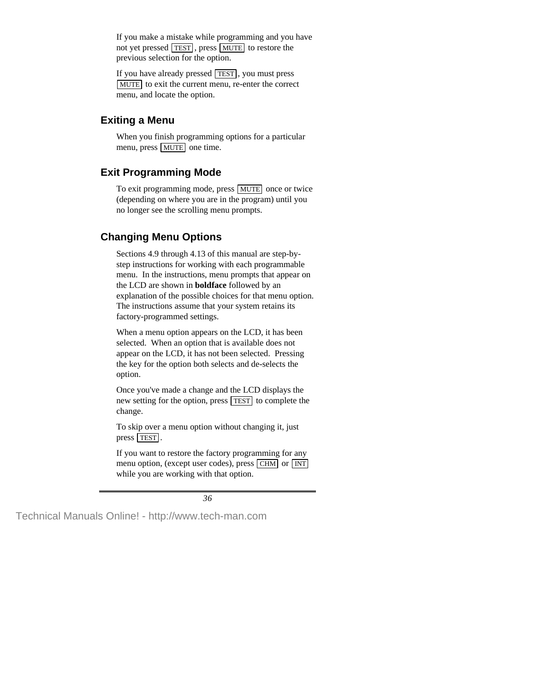If you make a mistake while programming and you have not yet pressed **TEST**, press **MUTE** to restore the previous selection for the option.

If you have already pressed TEST , you must press MUTE to exit the current menu, re-enter the correct menu, and locate the option.

# **Exiting a Menu**

When you finish programming options for a particular menu, press MUTE one time.

# **Exit Programming Mode**

To exit programming mode, press MUTE once or twice (depending on where you are in the program) until you no longer see the scrolling menu prompts.

# **Changing Menu Options**

Sections 4.9 through 4.13 of this manual are step-bystep instructions for working with each programmable menu. In the instructions, menu prompts that appear on the LCD are shown in **boldface** followed by an explanation of the possible choices for that menu option. The instructions assume that your system retains its factory-programmed settings.

When a menu option appears on the LCD, it has been selected. When an option that is available does not appear on the LCD, it has not been selected. Pressing the key for the option both selects and de-selects the option.

Once you've made a change and the LCD displays the new setting for the option, press **TEST** to complete the change.

To skip over a menu option without changing it, just press **TEST**.

If you want to restore the factory programming for any menu option, (except user codes), press CHM or INT while you are working with that option.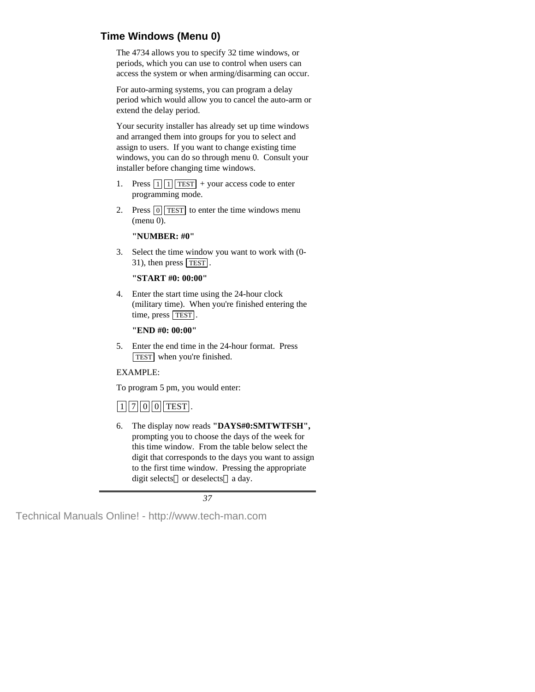# **Time Windows (Menu 0)**

The 4734 allows you to specify 32 time windows, or periods, which you can use to control when users can access the system or when arming/disarming can occur.

For auto-arming systems, you can program a delay period which would allow you to cancel the auto-arm or extend the delay period.

Your security installer has already set up time windows and arranged them into groups for you to select and assign to users. If you want to change existing time windows, you can do so through menu 0. Consult your installer before changing time windows.

- 1. Press  $\boxed{1}$   $\boxed{1}$  TEST + your access code to enter programming mode.
- 2. Press  $\boxed{0}$  TEST to enter the time windows menu (menu 0).

**"NUMBER: #0"**

3. Select the time window you want to work with (0- 31), then press TEST .

### **"START #0: 00:00"**

4. Enter the start time using the 24-hour clock (military time). When you're finished entering the time, press TEST.

### **"END #0: 00:00"**

5. Enter the end time in the 24-hour format. Press TEST when you're finished.

## EXAMPLE:

To program 5 pm, you would enter:

# $\boxed{1}$   $\boxed{7}$   $\boxed{0}$   $\boxed{0}$  TEST.

6. The display now reads **"DAYS#0:SMTWTFSH",** prompting you to choose the days of the week for this time window. From the table below select the digit that corresponds to the days you want to assign to the first time window. Pressing the appropriate digit selects—or deselects—a day.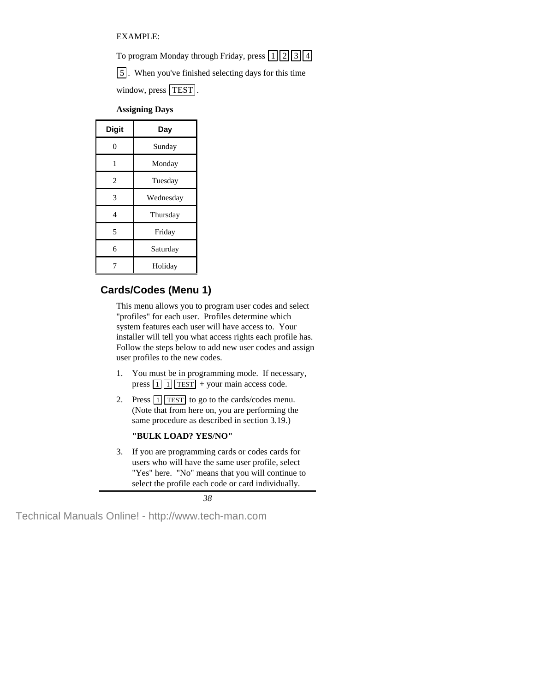EXAMPLE:

To program Monday through Friday, press  $\lceil 1 \rceil \lceil 2 \rceil \lceil 3 \rceil \lceil 4 \rceil$ 

5 . When you've finished selecting days for this time

window, press  $\boxed{\text{TEST}}$ .

## **Assigning Days**

| <b>Digit</b>   | Day       |  |
|----------------|-----------|--|
| 0              | Sunday    |  |
| 1              | Monday    |  |
| $\overline{c}$ | Tuesday   |  |
| 3              | Wednesday |  |
| 4              | Thursday  |  |
| 5              | Friday    |  |
| 6              | Saturday  |  |
|                | Holiday   |  |

# **Cards/Codes (Menu 1)**

This menu allows you to program user codes and select "profiles" for each user. Profiles determine which system features each user will have access to. Your installer will tell you what access rights each profile has. Follow the steps below to add new user codes and assign user profiles to the new codes.

- 1. You must be in programming mode. If necessary, press  $\boxed{1}$   $\boxed{1}$  TEST + your main access code.
- 2. Press  $\boxed{1}$  TEST to go to the cards/codes menu. (Note that from here on, you are performing the same procedure as described in section 3.19.)

### **"BULK LOAD? YES/NO"**

3. If you are programming cards or codes cards for users who will have the same user profile, select "Yes" here. "No" means that you will continue to select the profile each code or card individually.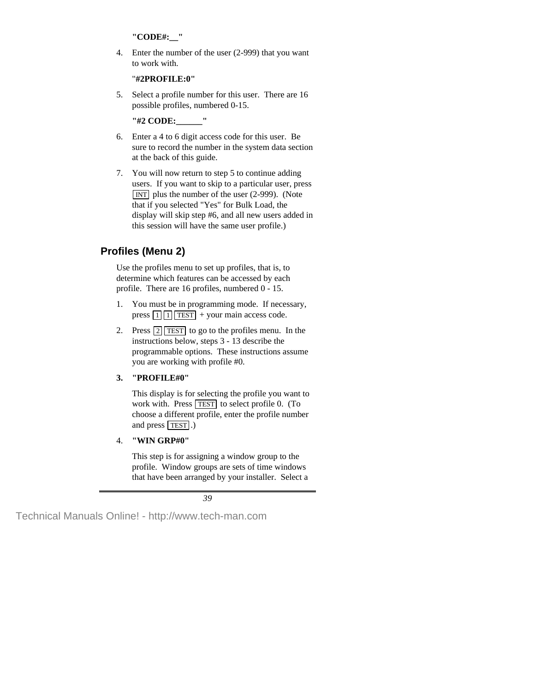#### **"CODE#:\_\_"**

4. Enter the number of the user (2-999) that you want to work with.

### "**#2PROFILE:0"**

5. Select a profile number for this user. There are 16 possible profiles, numbered 0-15.

**"#2 CODE:\_\_\_\_\_\_"**

- 6. Enter a 4 to 6 digit access code for this user. Be sure to record the number in the system data section at the back of this guide.
- 7. You will now return to step 5 to continue adding users. If you want to skip to a particular user, press  $\overline{INT}$  plus the number of the user (2-999). (Note that if you selected "Yes" for Bulk Load, the display will skip step #6, and all new users added in this session will have the same user profile.)

# **Profiles (Menu 2)**

Use the profiles menu to set up profiles, that is, to determine which features can be accessed by each profile. There are 16 profiles, numbered 0 - 15.

- 1. You must be in programming mode. If necessary, press  $\boxed{1}$   $\boxed{1}$  TEST + your main access code.
- 2. Press  $\boxed{2}$  TEST to go to the profiles menu. In the instructions below, steps 3 - 13 describe the programmable options. These instructions assume you are working with profile #0.

## **3. "PROFILE#0"**

This display is for selecting the profile you want to work with. Press  $\sqrt{TEST}$  to select profile 0. (To choose a different profile, enter the profile number and press TEST.)

## 4. **"WIN GRP#0"**

This step is for assigning a window group to the profile. Window groups are sets of time windows that have been arranged by your installer. Select a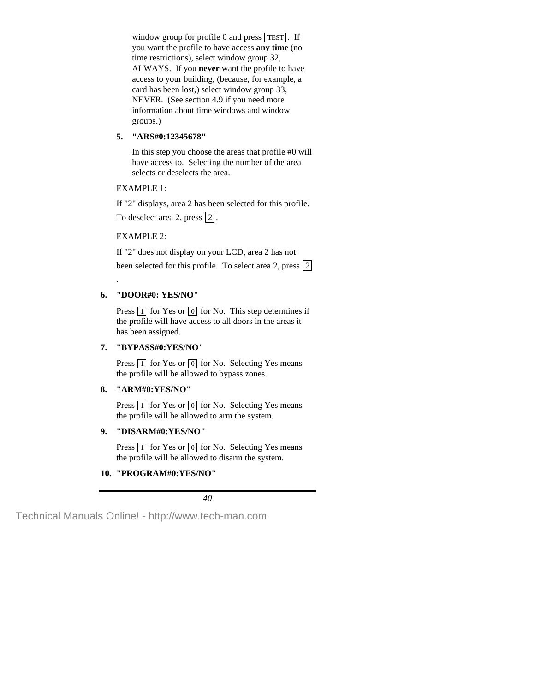window group for profile 0 and press  $TEST$ . If you want the profile to have access **any time** (no time restrictions), select window group 32, ALWAYS. If you **never** want the profile to have access to your building, (because, for example, a card has been lost,) select window group 33, NEVER. (See section 4.9 if you need more information about time windows and window groups.)

#### **5. "ARS#0:12345678"**

In this step you choose the areas that profile #0 will have access to. Selecting the number of the area selects or deselects the area.

#### EXAMPLE 1:

If "2" displays, area 2 has been selected for this profile. To deselect area 2, press  $\boxed{2}$ .

#### EXAMPLE 2:

.

If "2" does not display on your LCD, area 2 has not been selected for this profile. To select area 2, press  $|2|$ 

#### **6. "DOOR#0: YES/NO"**

Press  $\boxed{1}$  for Yes or  $\boxed{0}$  for No. This step determines if the profile will have access to all doors in the areas it has been assigned.

#### **7. "BYPASS#0:YES/NO"**

Press  $\boxed{1}$  for Yes or  $\boxed{0}$  for No. Selecting Yes means the profile will be allowed to bypass zones.

#### **8. "ARM#0:YES/NO"**

Press  $\boxed{1}$  for Yes or  $\boxed{0}$  for No. Selecting Yes means the profile will be allowed to arm the system.

#### **9. "DISARM#0:YES/NO"**

Press  $\boxed{1}$  for Yes or  $\boxed{0}$  for No. Selecting Yes means the profile will be allowed to disarm the system.

#### **10. "PROGRAM#0:YES/NO"**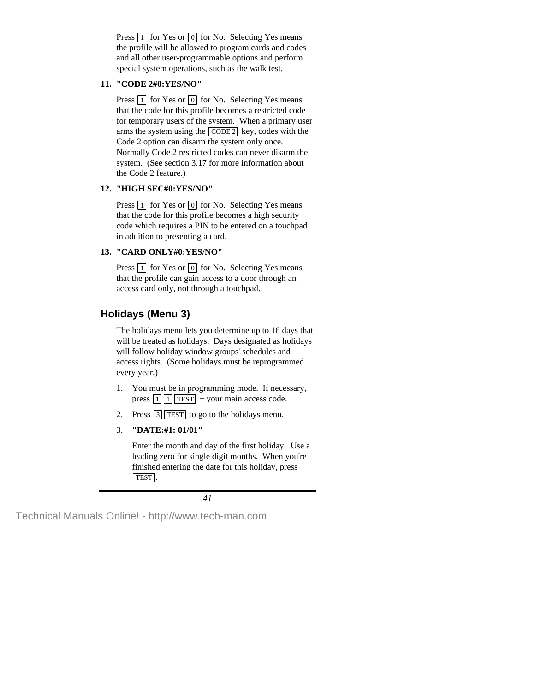Press  $\boxed{1}$  for Yes or  $\boxed{0}$  for No. Selecting Yes means the profile will be allowed to program cards and codes and all other user-programmable options and perform special system operations, such as the walk test.

#### **11. "CODE 2#0:YES/NO"**

Press  $\boxed{1}$  for Yes or  $\boxed{0}$  for No. Selecting Yes means that the code for this profile becomes a restricted code for temporary users of the system. When a primary user arms the system using the  $\overline{CODE 2}$  key, codes with the Code 2 option can disarm the system only once. Normally Code 2 restricted codes can never disarm the system. (See section 3.17 for more information about the Code 2 feature.)

#### **12. "HIGH SEC#0:YES/NO"**

Press  $\boxed{1}$  for Yes or  $\boxed{0}$  for No. Selecting Yes means that the code for this profile becomes a high security code which requires a PIN to be entered on a touchpad in addition to presenting a card.

#### **13. "CARD ONLY#0:YES/NO"**

Press  $\boxed{1}$  for Yes or  $\boxed{0}$  for No. Selecting Yes means that the profile can gain access to a door through an access card only, not through a touchpad.

# **Holidays (Menu 3)**

The holidays menu lets you determine up to 16 days that will be treated as holidays. Days designated as holidays will follow holiday window groups' schedules and access rights. (Some holidays must be reprogrammed every year.)

- 1. You must be in programming mode. If necessary, press  $\boxed{1}$   $\boxed{1}$  TEST + your main access code.
- 2. Press  $\boxed{3}$  TEST to go to the holidays menu.
- 3. **"DATE:#1: 01/01"**

Enter the month and day of the first holiday. Use a leading zero for single digit months. When you're finished entering the date for this holiday, press TEST .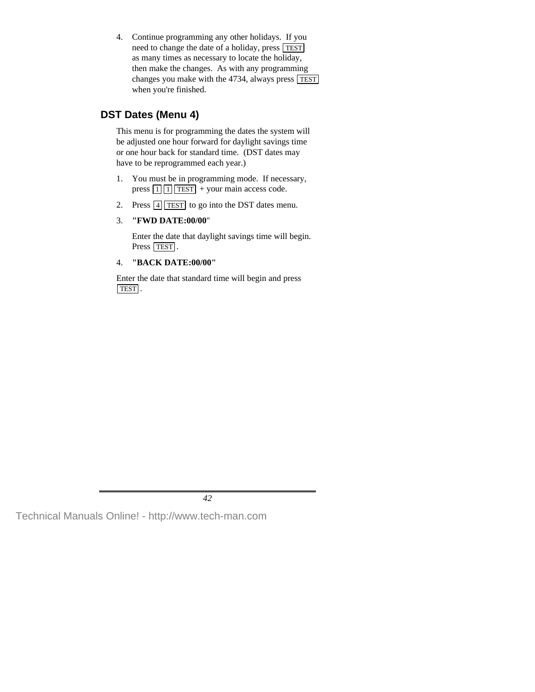4. Continue programming any other holidays. If you need to change the date of a holiday, press TEST as many times as necessary to locate the holiday, then make the changes. As with any programming changes you make with the 4734, always press TEST when you're finished.

# **DST Dates (Menu 4)**

This menu is for programming the dates the system will be adjusted one hour forward for daylight savings time or one hour back for standard time. (DST dates may have to be reprogrammed each year.)

- 1. You must be in programming mode. If necessary, press  $\boxed{1}$   $\boxed{1}$  TEST + your main access code.
- 2. Press  $\boxed{4}$  TEST to go into the DST dates menu.

#### 3. **"FWD DATE:00/00**"

Enter the date that daylight savings time will begin. Press TEST.

### 4. **"BACK DATE:00/00"**

Enter the date that standard time will begin and press TEST .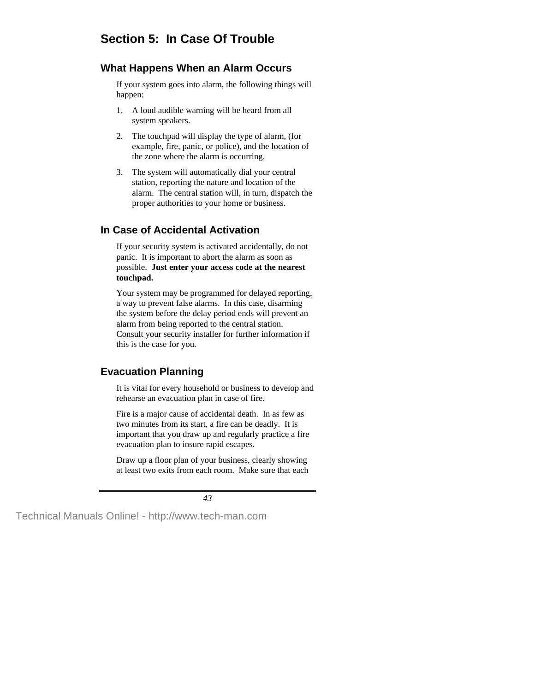# **Section 5: In Case Of Trouble**

## **What Happens When an Alarm Occurs**

If your system goes into alarm, the following things will happen:

- 1. A loud audible warning will be heard from all system speakers.
- 2. The touchpad will display the type of alarm, (for example, fire, panic, or police), and the location of the zone where the alarm is occurring.
- 3. The system will automatically dial your central station, reporting the nature and location of the alarm. The central station will, in turn, dispatch the proper authorities to your home or business.

# **In Case of Accidental Activation**

If your security system is activated accidentally, do not panic. It is important to abort the alarm as soon as possible. **Just enter your access code at the nearest touchpad.**

Your system may be programmed for delayed reporting, a way to prevent false alarms. In this case, disarming the system before the delay period ends will prevent an alarm from being reported to the central station. Consult your security installer for further information if this is the case for you.

# **Evacuation Planning**

It is vital for every household or business to develop and rehearse an evacuation plan in case of fire.

Fire is a major cause of accidental death. In as few as two minutes from its start, a fire can be deadly. It is important that you draw up and regularly practice a fire evacuation plan to insure rapid escapes.

Draw up a floor plan of your business, clearly showing at least two exits from each room. Make sure that each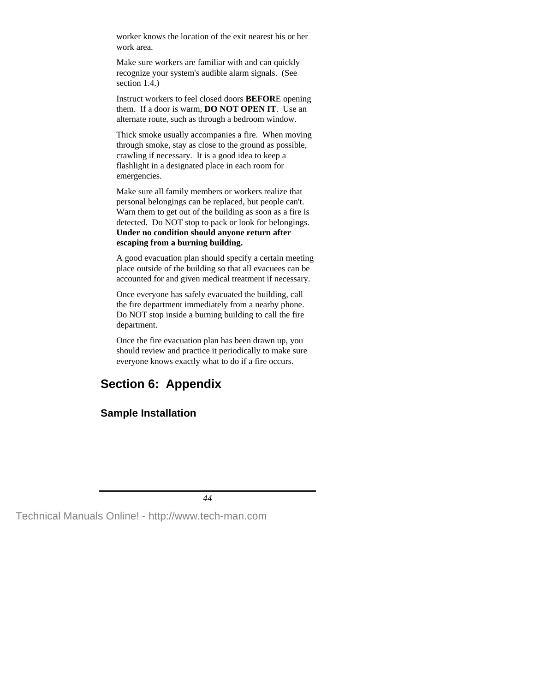worker knows the location of the exit nearest his or her work area.

Make sure workers are familiar with and can quickly recognize your system's audible alarm signals. (See section 1.4.)

Instruct workers to feel closed doors **BEFOR**E opening them. If a door is warm, **DO NOT OPEN IT**. Use an alternate route, such as through a bedroom window.

Thick smoke usually accompanies a fire. When moving through smoke, stay as close to the ground as possible, crawling if necessary. It is a good idea to keep a flashlight in a designated place in each room for emergencies.

Make sure all family members or workers realize that personal belongings can be replaced, but people can't. Warn them to get out of the building as soon as a fire is detected. Do NOT stop to pack or look for belongings. **Under no condition should anyone return after escaping from a burning building.**

A good evacuation plan should specify a certain meeting place outside of the building so that all evacuees can be accounted for and given medical treatment if necessary.

Once everyone has safely evacuated the building, call the fire department immediately from a nearby phone. Do NOT stop inside a burning building to call the fire department.

Once the fire evacuation plan has been drawn up, you should review and practice it periodically to make sure everyone knows exactly what to do if a fire occurs.

# **Section 6: Appendix**

## **Sample Installation**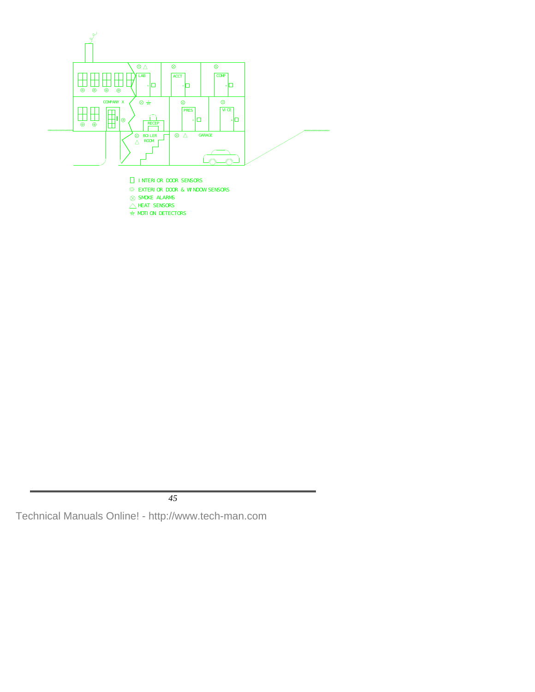

- INTERIOR DOOR SENSORS
- EXTERIOR DOOR & WINDOW SENSORS
- $\otimes$  SMOKE ALARMS
- $\triangle$  HEAT SENSORS
- $\star$  MOTION DETECTORS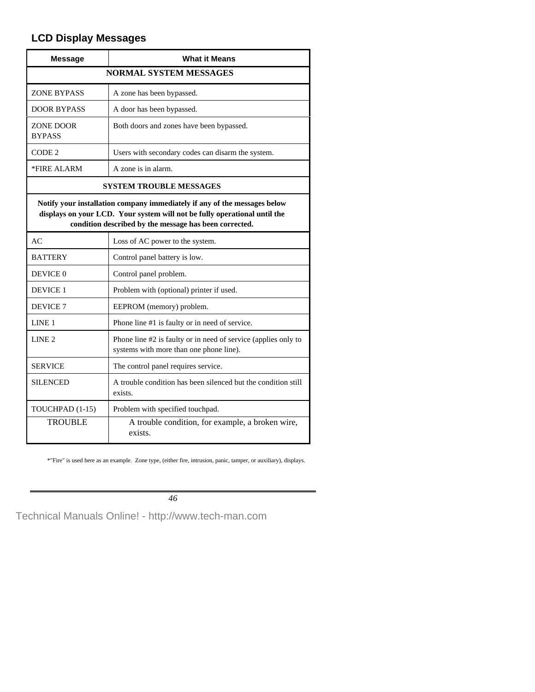# **LCD Display Messages**

| <b>Message</b>                                                                                                                                                                                                   | <b>What it Means</b>                                                                                      |  |  |  |
|------------------------------------------------------------------------------------------------------------------------------------------------------------------------------------------------------------------|-----------------------------------------------------------------------------------------------------------|--|--|--|
| <b>NORMAL SYSTEM MESSAGES</b>                                                                                                                                                                                    |                                                                                                           |  |  |  |
| <b>ZONE BYPASS</b>                                                                                                                                                                                               | A zone has been bypassed.                                                                                 |  |  |  |
| <b>DOOR BYPASS</b>                                                                                                                                                                                               | A door has been bypassed.                                                                                 |  |  |  |
| ZONE DOOR<br><b>BYPASS</b>                                                                                                                                                                                       | Both doors and zones have been bypassed.                                                                  |  |  |  |
| CODE <sub>2</sub>                                                                                                                                                                                                | Users with secondary codes can disarm the system.                                                         |  |  |  |
| *FIRE ALARM                                                                                                                                                                                                      | A zone is in alarm.                                                                                       |  |  |  |
|                                                                                                                                                                                                                  | <b>SYSTEM TROUBLE MESSAGES</b>                                                                            |  |  |  |
| Notify your installation company immediately if any of the messages below<br>displays on your LCD. Your system will not be fully operational until the<br>condition described by the message has been corrected. |                                                                                                           |  |  |  |
| AC                                                                                                                                                                                                               | Loss of AC power to the system.                                                                           |  |  |  |
| <b>BATTERY</b>                                                                                                                                                                                                   | Control panel battery is low.                                                                             |  |  |  |
| DEVICE 0                                                                                                                                                                                                         | Control panel problem.                                                                                    |  |  |  |
| <b>DEVICE 1</b>                                                                                                                                                                                                  | Problem with (optional) printer if used.                                                                  |  |  |  |
| DEVICE <sub>7</sub>                                                                                                                                                                                              | EEPROM (memory) problem.                                                                                  |  |  |  |
| LINE <sub>1</sub>                                                                                                                                                                                                | Phone line #1 is faulty or in need of service.                                                            |  |  |  |
| LINE <sub>2</sub>                                                                                                                                                                                                | Phone line #2 is faulty or in need of service (applies only to<br>systems with more than one phone line). |  |  |  |
| <b>SERVICE</b>                                                                                                                                                                                                   | The control panel requires service.                                                                       |  |  |  |
| <b>SILENCED</b>                                                                                                                                                                                                  | A trouble condition has been silenced but the condition still<br>exists.                                  |  |  |  |
| TOUCHPAD (1-15)                                                                                                                                                                                                  | Problem with specified touchpad.                                                                          |  |  |  |
| <b>TROUBLE</b>                                                                                                                                                                                                   | A trouble condition, for example, a broken wire,<br>exists.                                               |  |  |  |

\*"Fire" is used here as an example. Zone type, (either fire, intrusion, panic, tamper, or auxiliary), displays.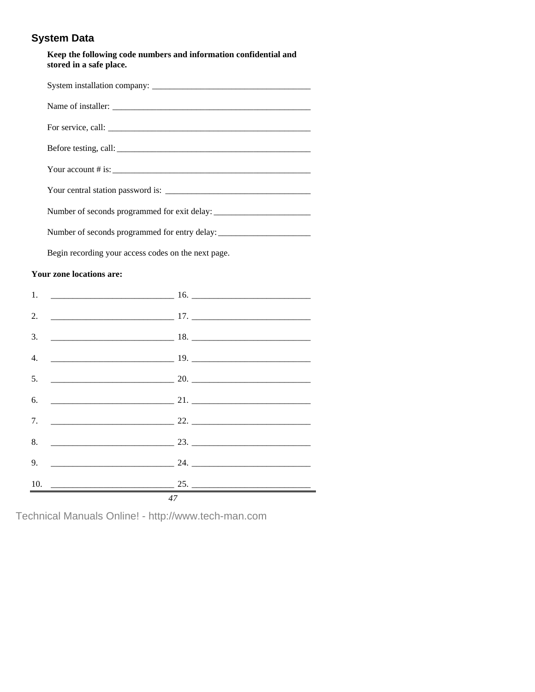# **System Data**

#### **Keep the following code numbers and information confidential and stored in a safe place.**

| Number of seconds programmed for exit delay: ___________________________________  |  |  |  |
|-----------------------------------------------------------------------------------|--|--|--|
| Number of seconds programmed for entry delay: ___________________________________ |  |  |  |
| Begin recording your access codes on the next page.                               |  |  |  |

#### **Your zone locations are:**

| 1. |    |
|----|----|
| 2. |    |
| 3. |    |
| 4. |    |
| 5. |    |
| 6. |    |
| 7. |    |
| 8. |    |
| 9. |    |
|    |    |
|    | 47 |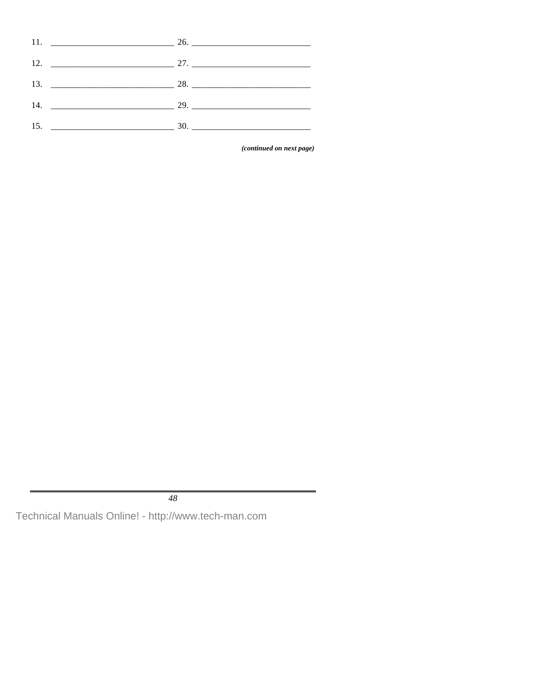| 11. $\frac{1}{26}$  |
|---------------------|
|                     |
| 13. $\frac{13}{28}$ |
|                     |
|                     |

(continued on next page)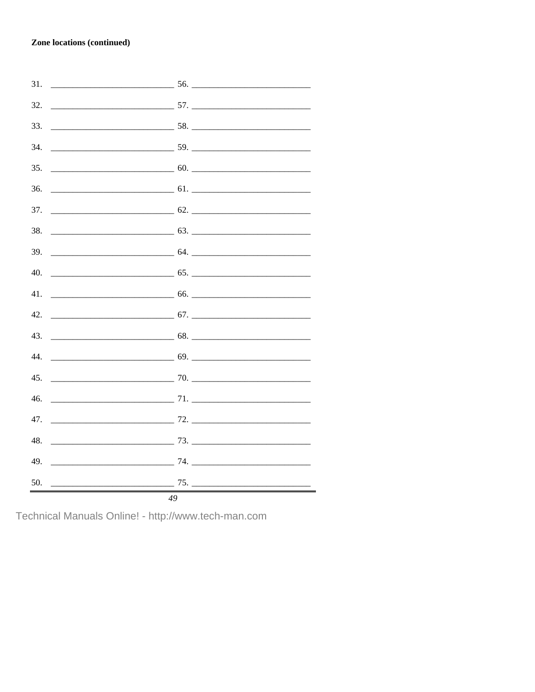#### **Zone locations (continued)**

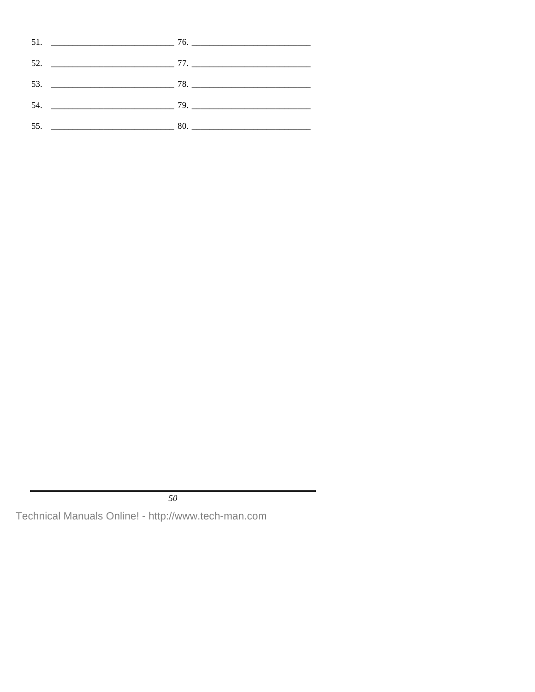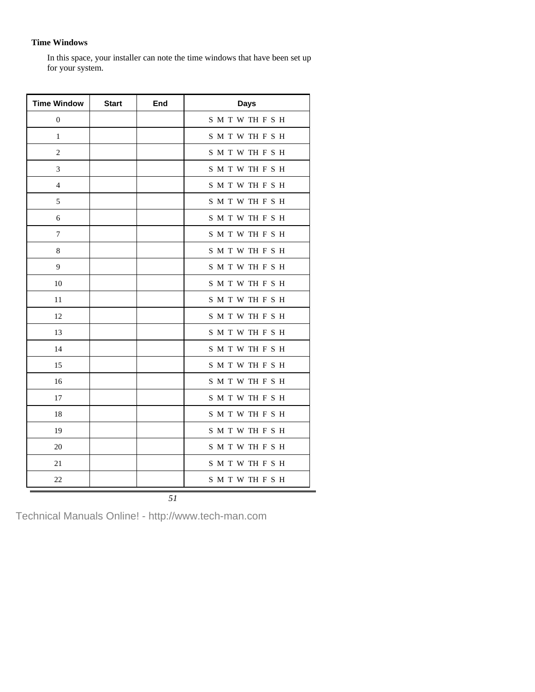#### **Time Windows**

In this space, your installer can note the time windows that have been set up for your system.

| <b>Time Window</b> | <b>Start</b> | End | <b>Days</b> |
|--------------------|--------------|-----|-------------|
| $\mathbf{0}$       |              |     | SMTWTHFSH   |
| 1                  |              |     | SMTWTHFSH   |
| $\overline{c}$     |              |     | SMTWTHFSH   |
| 3                  |              |     | SMTWTHFSH   |
| 4                  |              |     | SMTWTHFSH   |
| 5                  |              |     | SMTWTHFSH   |
| 6                  |              |     | SMTWTHFSH   |
| 7                  |              |     | SMTWTHFSH   |
| $\,$ 8 $\,$        |              |     | SMTWTHFSH   |
| 9                  |              |     | SMTWTHFSH   |
| 10                 |              |     | SMTWTHFSH   |
| 11                 |              |     | SMTWTHFSH   |
| 12                 |              |     | SMTWTHFSH   |
| 13                 |              |     | SMTWTHFSH   |
| 14                 |              |     | SMTWTHFSH   |
| 15                 |              |     | SMTWTHFSH   |
| 16                 |              |     | SMTWTHFSH   |
| 17                 |              |     | SMTWTHFSH   |
| 18                 |              |     | SMTWTHFSH   |
| 19                 |              |     | SMTWTHFSH   |
| 20                 |              |     | SMTWTHFSH   |
| 21                 |              |     | SMTWTHFSH   |
| 22                 |              |     | SMTWTHFSH   |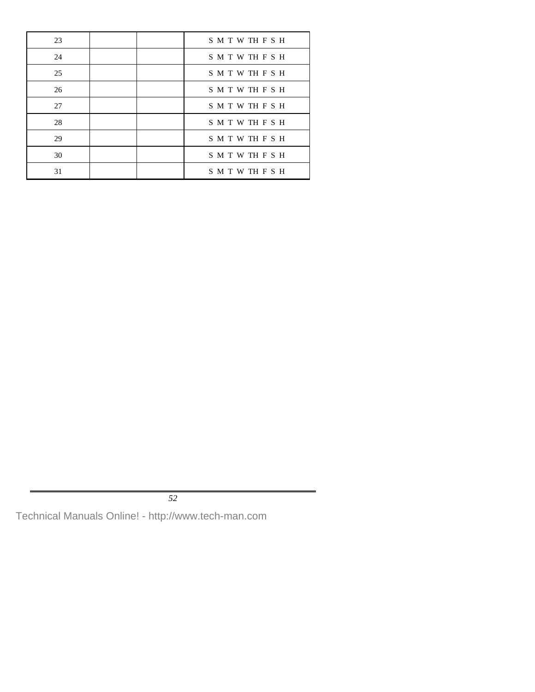| 23 |  | SMTWTHFSH |
|----|--|-----------|
| 24 |  | SMTWTHFSH |
| 25 |  | SMTWTHFSH |
| 26 |  | SMTWTHFSH |
| 27 |  | SMTWTHFSH |
| 28 |  | SMTWTHFSH |
| 29 |  | SMTWTHFSH |
| 30 |  | SMTWTHFSH |
| 31 |  | SMTWTHFSH |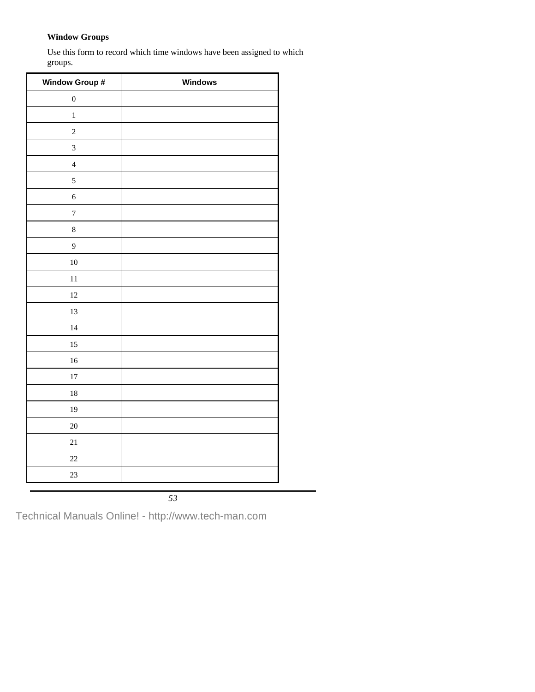#### **Window Groups**

Use this form to record which time windows have been assigned to which groups.

| Window Group #   | Windows |
|------------------|---------|
| $\boldsymbol{0}$ |         |
| $\,1$            |         |
| $\sqrt{2}$       |         |
| 3                |         |
| $\sqrt{4}$       |         |
| 5                |         |
| $\boldsymbol{6}$ |         |
| $\overline{7}$   |         |
| $\,8$            |         |
| 9                |         |
| $10\,$           |         |
| 11               |         |
| 12               |         |
| 13               |         |
| 14               |         |
| 15               |         |
| 16               |         |
| $17\,$           |         |
| 18               |         |
| 19               |         |
| $20\,$           |         |
| 21               |         |
| $22\,$           |         |
| 23               |         |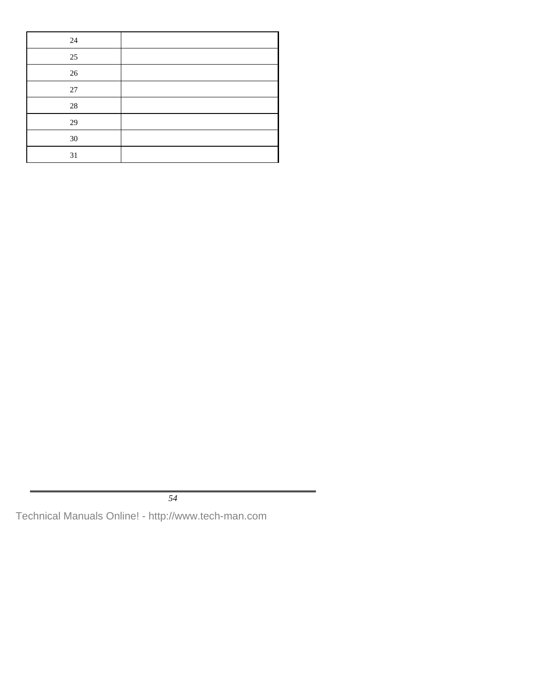| 24     |  |
|--------|--|
| $25\,$ |  |
| $26\,$ |  |
| $27\,$ |  |
| $28\,$ |  |
| 29     |  |
| $30\,$ |  |
| 31     |  |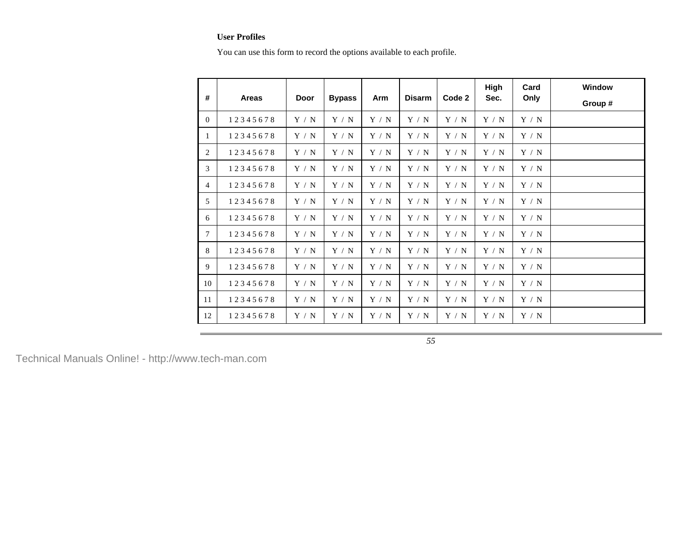#### **User Profiles**

You can use this form to record the options available to each profile.

| #        | <b>Areas</b> | Door  | <b>Bypass</b> | Arm   | <b>Disarm</b> | Code 2 | High<br>Sec. | Card<br>Only |  |
|----------|--------------|-------|---------------|-------|---------------|--------|--------------|--------------|--|
| $\Omega$ | 12345678     | Y / N | Y / N         | Y / N | Y / N         | Y / N  | Y / N        | Y / N        |  |
| 1        | 12345678     | Y / N | Y / N         | Y / N | Y / N         | Y / N  | Y / N        | Y / N        |  |
| 2        | 12345678     | Y / N | Y / N         | Y / N | Y / N         | Y / N  | Y / N        | Y / N        |  |
| 3        | 12345678     | Y / N | Y / N         | Y / N | Y / N         | Y / N  | Y / N        | Y / N        |  |
| 4        | 12345678     | Y / N | Y / N         | Y / N | Y / N         | Y / N  | Y / N        | Y / N        |  |
| 5        | 12345678     | Y / N | Y / N         | Y / N | Y / N         | Y / N  | Y / N        | Y / N        |  |
| 6        | 12345678     | Y / N | Y / N         | Y / N | Y / N         | Y / N  | Y / N        | Y / N        |  |
| 7        | 12345678     | Y / N | Y / N         | Y / N | Y / N         | Y / N  | Y / N        | Y / N        |  |
| 8        | 12345678     | Y / N | Y / N         | Y / N | Y / N         | Y / N  | Y / N        | Y / N        |  |
| 9        | 12345678     | Y / N | Y / N         | Y / N | Y / N         | Y / N  | Y / N        | Y / N        |  |
| 10       | 12345678     | Y / N | Y/N           | Y / N | Y / N         | Y / N  | Y / N        | Y / N        |  |
| 11       | 12345678     | Y / N | Y / N         | Y / N | Y / N         | Y / N  | Y / N        | Y / N        |  |
| 12       | 12345678     | Y / N | Y / N         | Y / N | Y / N         | Y / N  | Y / N        | Y / N        |  |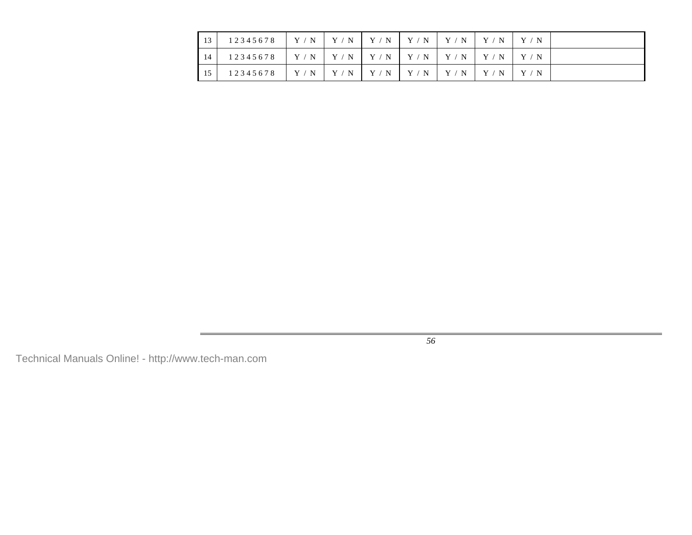| 13  | 12345678 | Y/N | Y/N | $\mid$ Y / N $\mid$ Y / N $\mid$ Y / N $\mid$ Y / N |       |  |
|-----|----------|-----|-----|-----------------------------------------------------|-------|--|
| -14 | 12345678 | Y/N |     | Y/N Y/N Y/N Y/N Y/N Y/N                             |       |  |
| 15  | 12345678 | Y/N | Y/N | $Y/N$   $Y/N$   $Y/N$                               | Y / N |  |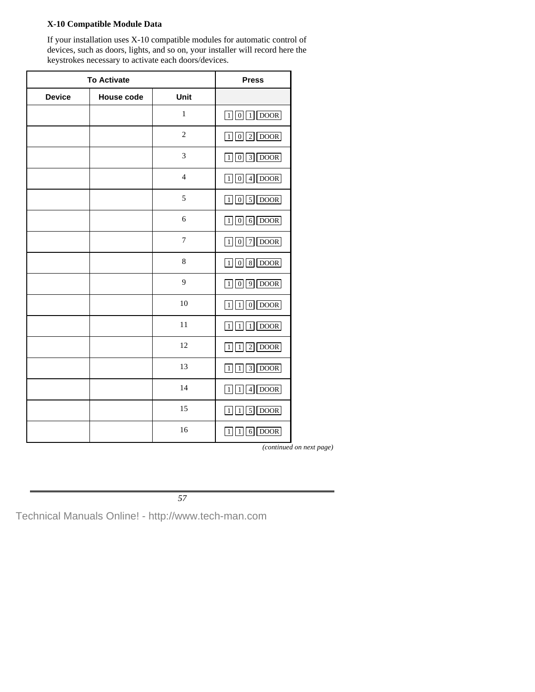### **X-10 Compatible Module Data**

If your installation uses X-10 compatible modules for automatic control of devices, such as doors, lights, and so on, your installer will record here the keystrokes necessary to activate each doors/devices.

| <b>To Activate</b> |                   |                  | <b>Press</b>                                                    |
|--------------------|-------------------|------------------|-----------------------------------------------------------------|
| <b>Device</b>      | <b>House code</b> | Unit             |                                                                 |
|                    |                   | $\,1\,$          | $1$ DOOR<br>$\vert 1 \vert \vert 0 \vert$                       |
|                    |                   | $\overline{c}$   | $102$ DOOR                                                      |
|                    |                   | 3                | $\boxed{0}$ $\boxed{3}$ DOOR<br>$\vert$ 1                       |
|                    |                   | $\overline{4}$   | $104$ DOOR                                                      |
|                    |                   | 5                | $\boxed{1}$ $\boxed{0}$ $\boxed{5}$ $\boxed{DOOR}$              |
|                    |                   | 6                | $106$ DOOR                                                      |
|                    |                   | $\boldsymbol{7}$ | 7 DOOR<br>$\lceil 1 \rceil$ 0                                   |
|                    |                   | $\,$ 8 $\,$      | 8 DOOR<br> 0 <br>$1$                                            |
|                    |                   | 9                | $9$ DOOR<br>$\overline{0}$<br>1 <sup>1</sup>                    |
|                    |                   | 10               | $0$ DOOR<br>$\mathbf{1}$<br>1 <sup>1</sup>                      |
|                    |                   | 11               | $1$ DOOR<br>$\overline{1}$<br> 1                                |
|                    |                   | 12               | $\overline{\text{DOOR}}$<br>$\overline{2}$<br>$\mathbf{1}$<br>1 |
|                    |                   | 13               | $3$ DOOR<br>$\frac{1}{2}$<br>$\vert$ 1                          |
|                    |                   | 14               | $4$ DOOR<br>$1\vert$<br>$\vert 1 \vert$                         |
|                    |                   | 15               | $\boxed{5}$ DOOR<br>$1\vert$<br> 1                              |
|                    |                   | 16               | $6$ DOOR<br>$1\vert$<br>1 <sub>1</sub>                          |

*(continued on next page)*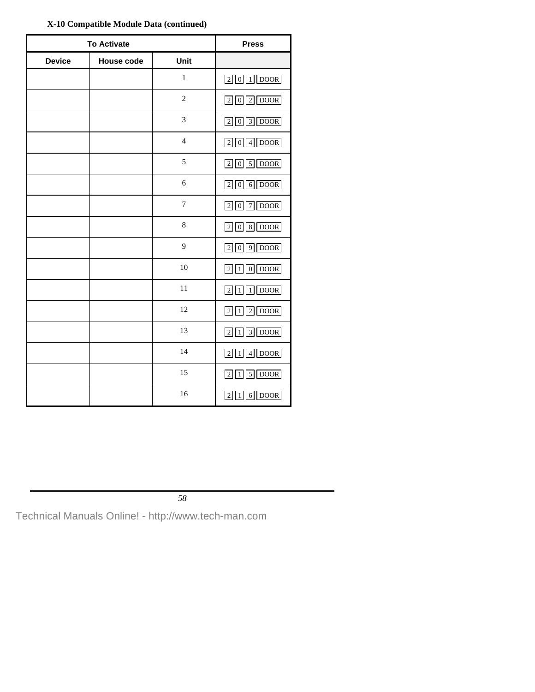| <b>To Activate</b> |                   |                | <b>Press</b>                                                      |
|--------------------|-------------------|----------------|-------------------------------------------------------------------|
| <b>Device</b>      | <b>House code</b> | Unit           |                                                                   |
|                    |                   | $\,1$          | $201$ DOOR                                                        |
|                    |                   | $\overline{c}$ | $202$ DOOR                                                        |
|                    |                   | 3              | $\boxed{2}\boxed{0}\boxed{3}\boxed{DOOR}$                         |
|                    |                   | $\overline{4}$ | $2014$ DOOR                                                       |
|                    |                   | 5              | $205$ DOOR                                                        |
|                    |                   | 6              | $206$ DOOR                                                        |
|                    |                   | $\tau$         | $7$ DOOR<br>$\begin{bmatrix} 2 \\ 0 \end{bmatrix}$                |
|                    |                   | $\,$ 8 $\,$    | $208$ DOOR                                                        |
|                    |                   | 9              | 2009000                                                           |
|                    |                   | 10             | $\boxed{2}$ $\boxed{1}$ $\boxed{0}$ $\boxed{DOOR}$                |
|                    |                   | 11             | $2111$ DOOR                                                       |
|                    |                   | 12             | $\boxed{2}\boxed{1}\boxed{2}\boxed{DOOR}$                         |
|                    |                   | 13             | $213$ DOOR                                                        |
|                    |                   | 14             | $4$ DOOR<br> 2 1                                                  |
|                    |                   | 15             | <b>DOOR</b><br>$\sqrt{5}$<br>$\lceil 2 \rceil$<br>$\vert 1 \vert$ |
|                    |                   | 16             | <b>DOOR</b><br>2 <sup>1</sup><br>$6\vert$<br>1                    |

**X-10 Compatible Module Data (continued)**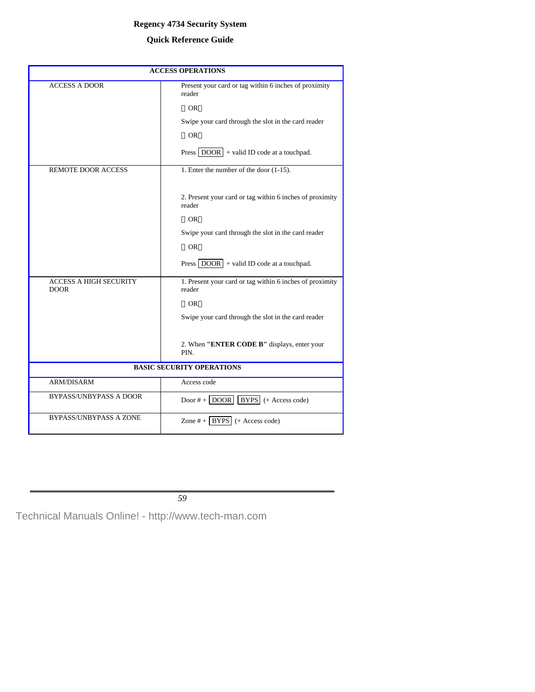#### **Regency 4734 Security System**

## **Quick Reference Guide**

| <b>ACCESS OPERATIONS</b>                     |                                                                    |  |  |
|----------------------------------------------|--------------------------------------------------------------------|--|--|
| <b>ACCESS A DOOR</b>                         | Present your card or tag within 6 inches of proximity<br>reader    |  |  |
|                                              | $\longrightarrow$ OR $\longrightarrow$                             |  |  |
|                                              | Swipe your card through the slot in the card reader                |  |  |
|                                              | $\longrightarrow$ OR $\longrightarrow$                             |  |  |
|                                              | Press $\boxed{DOOR}$ + valid ID code at a touchpad.                |  |  |
| <b>REMOTE DOOR ACCESS</b>                    | 1. Enter the number of the door (1-15).                            |  |  |
|                                              |                                                                    |  |  |
|                                              | 2. Present your card or tag within 6 inches of proximity<br>reader |  |  |
|                                              | $\longrightarrow$ OR $\longrightarrow$                             |  |  |
|                                              | Swipe your card through the slot in the card reader                |  |  |
|                                              | $\longrightarrow$ OR $\longrightarrow$                             |  |  |
|                                              | Press $\boxed{DOOR}$ + valid ID code at a touchpad.                |  |  |
| <b>ACCESS A HIGH SECURITY</b><br><b>DOOR</b> | 1. Present your card or tag within 6 inches of proximity<br>reader |  |  |
|                                              | $\longrightarrow$ OR $\longrightarrow$                             |  |  |
|                                              | Swipe your card through the slot in the card reader                |  |  |
|                                              | 2. When "ENTER CODE B" displays, enter your                        |  |  |
|                                              | PIN.                                                               |  |  |
| <b>BASIC SECURITY OPERATIONS</b>             |                                                                    |  |  |
| ARM/DISARM                                   | Access code                                                        |  |  |
| <b>BYPASS/UNBYPASS A DOOR</b>                | Door $#$ + $\boxed{DOOR}$ $\boxed{BYPS}$ (+ Access code)           |  |  |
| <b>BYPASS/UNBYPASS A ZONE</b>                | Zone $#$ +   BYPS   (+ Access code)                                |  |  |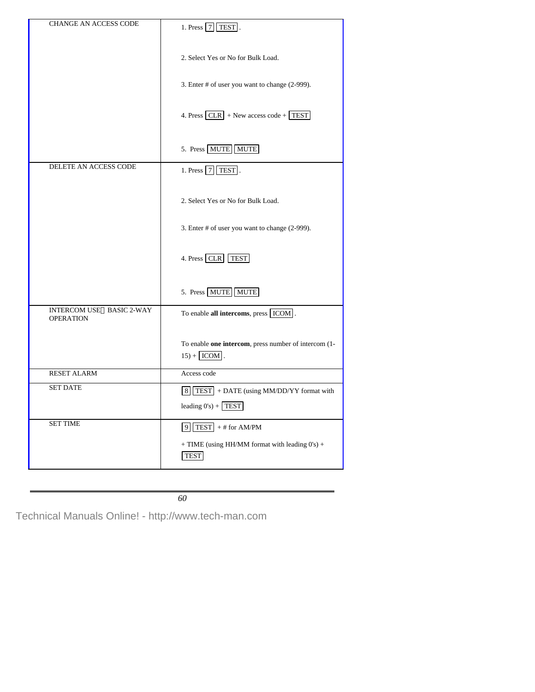| <b>CHANGE AN ACCESS CODE</b>                        | 1. Press $\boxed{7}$ TEST.                                                    |
|-----------------------------------------------------|-------------------------------------------------------------------------------|
|                                                     | 2. Select Yes or No for Bulk Load.                                            |
|                                                     | 3. Enter # of user you want to change (2-999).                                |
|                                                     | 4. Press $CLR$ + New access code + TEST                                       |
|                                                     | 5. Press MUTE MUTE                                                            |
| DELETE AN ACCESS CODE                               | 1. Press $7$ TEST.                                                            |
|                                                     | 2. Select Yes or No for Bulk Load.                                            |
|                                                     | 3. Enter # of user you want to change (2-999).                                |
|                                                     | 4. Press CLR TEST                                                             |
|                                                     | 5. Press MUTE MUTE                                                            |
| <b>INTERCOM USE-BASIC 2-WAY</b><br><b>OPERATION</b> | To enable all intercoms, press [ICOM].                                        |
|                                                     | To enable one intercom, press number of intercom (1-<br>$15) +$ ICOM.         |
| <b>RESET ALARM</b>                                  | Access code                                                                   |
| <b>SET DATE</b>                                     | $\boxed{8}$ TEST + DATE (using MM/DD/YY format with<br>leading $0's$ ) + TEST |
| <b>SET TIME</b>                                     | $9$ TEST + # for AM/PM                                                        |
|                                                     | + TIME (using HH/MM format with leading 0's) +<br><b>TEST</b>                 |